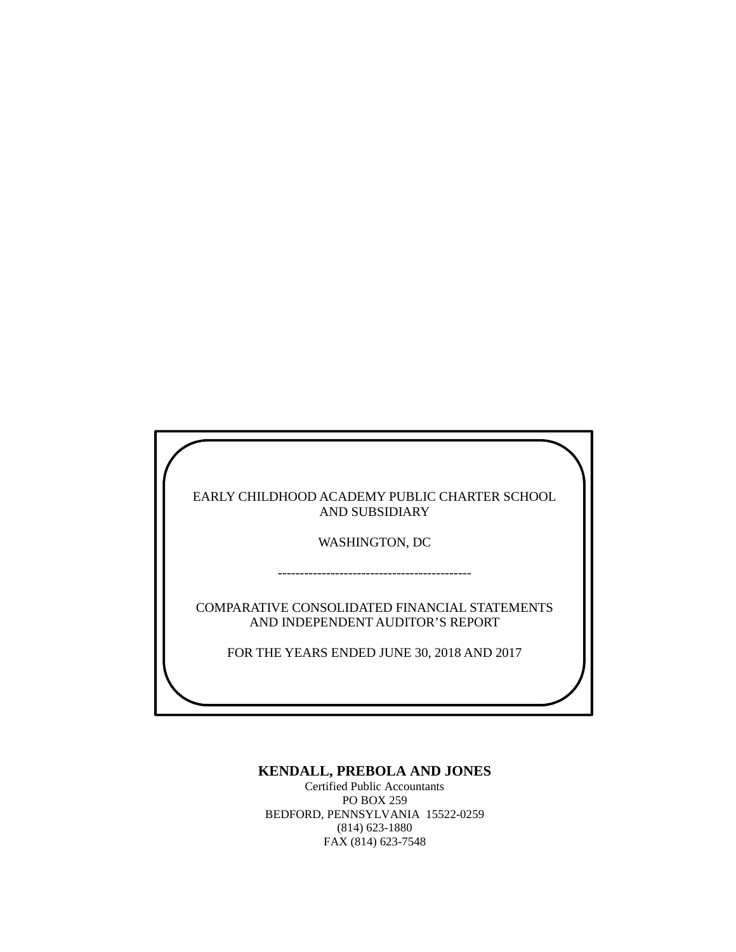EARLY CHILDHOOD ACADEMY PUBLIC CHARTER SCHOOL AND SUBSIDIARY

WASHINGTON, DC

--------------------------------------------

COMPARATIVE CONSOLIDATED FINANCIAL STATEMENTS AND INDEPENDENT AUDITOR'S REPORT

FOR THE YEARS ENDED JUNE 30, 2018 AND 2017

## **KENDALL, PREBOLA AND JONES**

Certified Public Accountants PO BOX 259 BEDFORD, PENNSYLVANIA 15522-0259 (814) 623-1880 FAX (814) 623-7548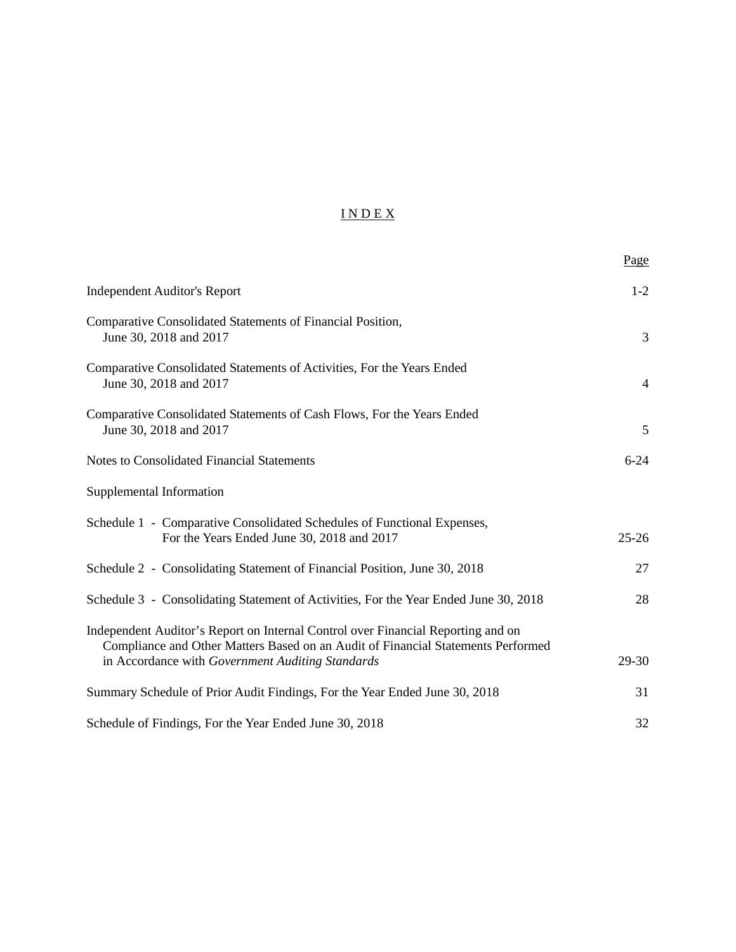# I N D E X

|                                                                                                                                                                                                                          | Page           |
|--------------------------------------------------------------------------------------------------------------------------------------------------------------------------------------------------------------------------|----------------|
| <b>Independent Auditor's Report</b>                                                                                                                                                                                      | $1-2$          |
| Comparative Consolidated Statements of Financial Position,<br>June 30, 2018 and 2017                                                                                                                                     | 3              |
| Comparative Consolidated Statements of Activities, For the Years Ended<br>June 30, 2018 and 2017                                                                                                                         | $\overline{4}$ |
| Comparative Consolidated Statements of Cash Flows, For the Years Ended<br>June 30, 2018 and 2017                                                                                                                         | 5              |
| <b>Notes to Consolidated Financial Statements</b>                                                                                                                                                                        | $6 - 24$       |
| Supplemental Information                                                                                                                                                                                                 |                |
| Schedule 1 - Comparative Consolidated Schedules of Functional Expenses,<br>For the Years Ended June 30, 2018 and 2017                                                                                                    | $25 - 26$      |
| Schedule 2 - Consolidating Statement of Financial Position, June 30, 2018                                                                                                                                                | 27             |
| Schedule 3 - Consolidating Statement of Activities, For the Year Ended June 30, 2018                                                                                                                                     | 28             |
| Independent Auditor's Report on Internal Control over Financial Reporting and on<br>Compliance and Other Matters Based on an Audit of Financial Statements Performed<br>in Accordance with Government Auditing Standards | 29-30          |
| Summary Schedule of Prior Audit Findings, For the Year Ended June 30, 2018                                                                                                                                               | 31             |
| Schedule of Findings, For the Year Ended June 30, 2018                                                                                                                                                                   | 32             |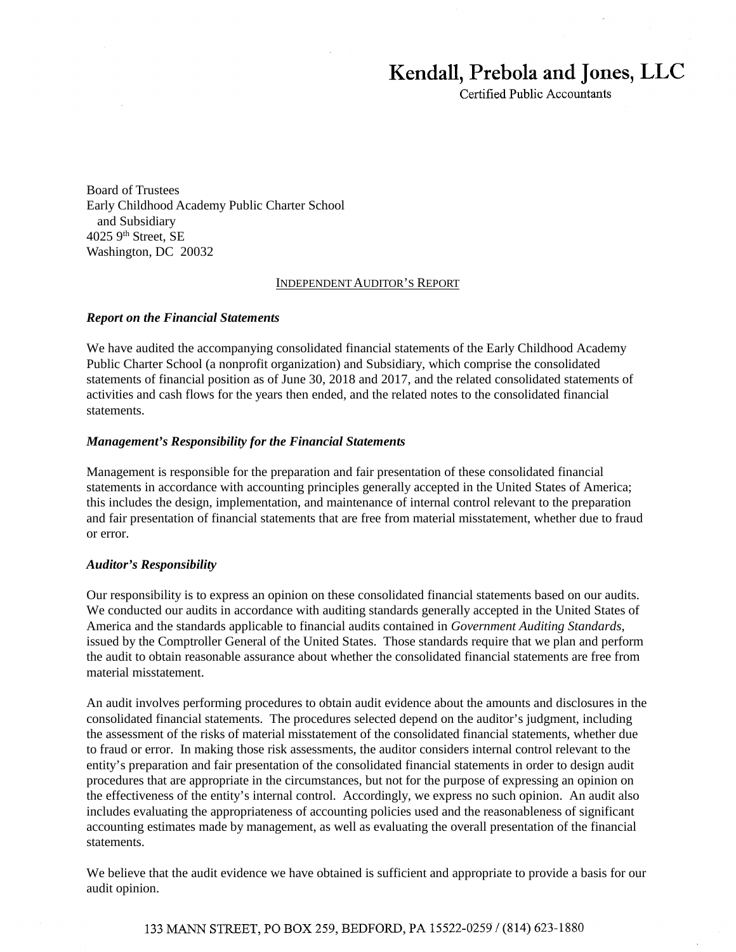# **Kendall, Prebola and Jones, LLC**

Certified Public Accountants

Board of Trustees Early Childhood Academy Public Charter School and Subsidiary 4025 9th Street, SE Washington, DC 20032

#### INDEPENDENT AUDITOR'S REPORT

#### *Report on the Financial Statements*

We have audited the accompanying consolidated financial statements of the Early Childhood Academy Public Charter School (a nonprofit organization) and Subsidiary, which comprise the consolidated statements of financial position as of June 30, 2018 and 2017, and the related consolidated statements of activities and cash flows for the years then ended, and the related notes to the consolidated financial statements.

#### *Management's Responsibility for the Financial Statements*

Management is responsible for the preparation and fair presentation of these consolidated financial statements in accordance with accounting principles generally accepted in the United States of America; this includes the design, implementation, and maintenance of internal control relevant to the preparation and fair presentation of financial statements that are free from material misstatement, whether due to fraud or error.

#### *Auditor's Responsibility*

Our responsibility is to express an opinion on these consolidated financial statements based on our audits. We conducted our audits in accordance with auditing standards generally accepted in the United States of America and the standards applicable to financial audits contained in *Government Auditing Standards*, issued by the Comptroller General of the United States. Those standards require that we plan and perform the audit to obtain reasonable assurance about whether the consolidated financial statements are free from material misstatement.

An audit involves performing procedures to obtain audit evidence about the amounts and disclosures in the consolidated financial statements. The procedures selected depend on the auditor's judgment, including the assessment of the risks of material misstatement of the consolidated financial statements, whether due to fraud or error. In making those risk assessments, the auditor considers internal control relevant to the entity's preparation and fair presentation of the consolidated financial statements in order to design audit procedures that are appropriate in the circumstances, but not for the purpose of expressing an opinion on the effectiveness of the entity's internal control. Accordingly, we express no such opinion. An audit also includes evaluating the appropriateness of accounting policies used and the reasonableness of significant accounting estimates made by management, as well as evaluating the overall presentation of the financial statements.

We believe that the audit evidence we have obtained is sufficient and appropriate to provide a basis for our audit opinion.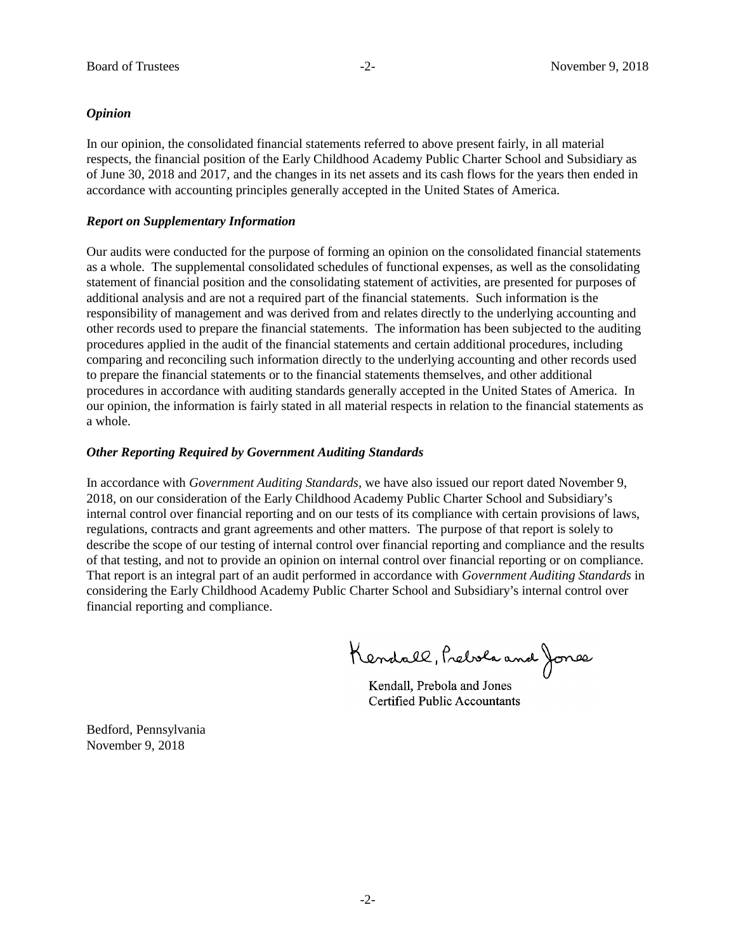#### *Opinion*

In our opinion, the consolidated financial statements referred to above present fairly, in all material respects, the financial position of the Early Childhood Academy Public Charter School and Subsidiary as of June 30, 2018 and 2017, and the changes in its net assets and its cash flows for the years then ended in accordance with accounting principles generally accepted in the United States of America.

#### *Report on Supplementary Information*

Our audits were conducted for the purpose of forming an opinion on the consolidated financial statements as a whole. The supplemental consolidated schedules of functional expenses, as well as the consolidating statement of financial position and the consolidating statement of activities, are presented for purposes of additional analysis and are not a required part of the financial statements. Such information is the responsibility of management and was derived from and relates directly to the underlying accounting and other records used to prepare the financial statements. The information has been subjected to the auditing procedures applied in the audit of the financial statements and certain additional procedures, including comparing and reconciling such information directly to the underlying accounting and other records used to prepare the financial statements or to the financial statements themselves, and other additional procedures in accordance with auditing standards generally accepted in the United States of America. In our opinion, the information is fairly stated in all material respects in relation to the financial statements as a whole.

#### *Other Reporting Required by Government Auditing Standards*

In accordance with *Government Auditing Standards*, we have also issued our report dated November 9, 2018, on our consideration of the Early Childhood Academy Public Charter School and Subsidiary's internal control over financial reporting and on our tests of its compliance with certain provisions of laws, regulations, contracts and grant agreements and other matters. The purpose of that report is solely to describe the scope of our testing of internal control over financial reporting and compliance and the results of that testing, and not to provide an opinion on internal control over financial reporting or on compliance. That report is an integral part of an audit performed in accordance with *Government Auditing Standards* in considering the Early Childhood Academy Public Charter School and Subsidiary's internal control over financial reporting and compliance.

Kendall, Prebola and Jones

Kendall, Prebola and Jones Kendall, Prebola and Jones Certified Public Accountants Certified Public Accountants

Bedford, Pennsylvania November 9, 2018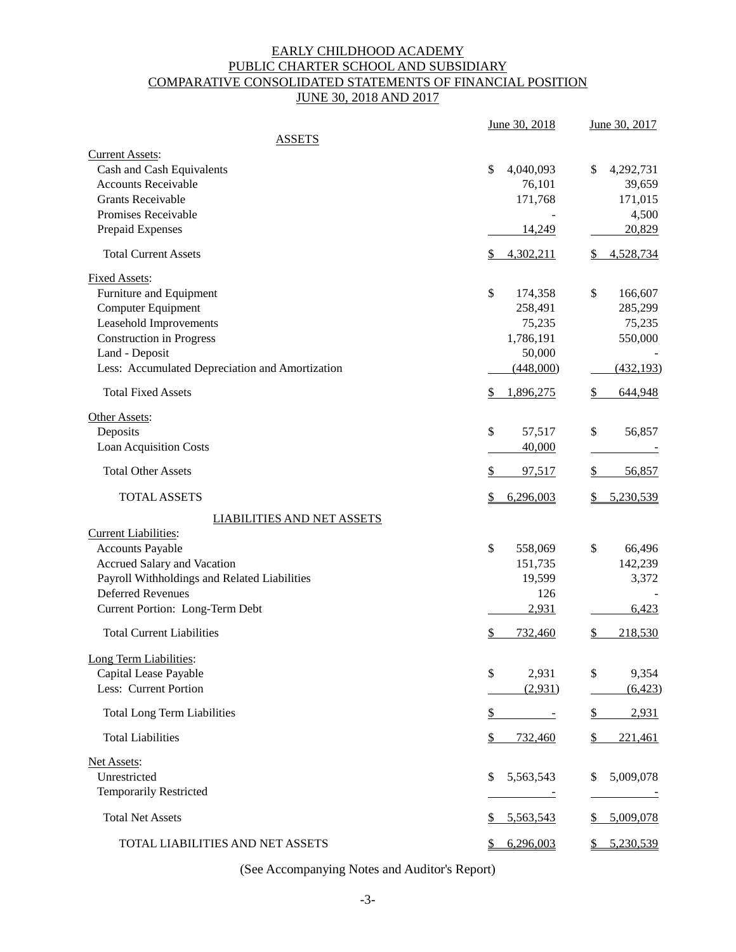# EARLY CHILDHOOD ACADEMY PUBLIC CHARTER SCHOOL AND SUBSIDIARY COMPARATIVE CONSOLIDATED STATEMENTS OF FINANCIAL POSITION JUNE 30, 2018 AND 2017

|                                                 | June 30, 2018              | June 30, 2017            |
|-------------------------------------------------|----------------------------|--------------------------|
| <b>ASSETS</b>                                   |                            |                          |
| <b>Current Assets:</b>                          |                            |                          |
| Cash and Cash Equivalents                       | \$<br>4,040,093            | 4,292,731<br>\$          |
| <b>Accounts Receivable</b>                      | 76,101                     | 39,659                   |
| <b>Grants Receivable</b>                        | 171,768                    | 171,015                  |
| Promises Receivable                             |                            | 4,500                    |
| Prepaid Expenses                                | 14,249                     | 20,829                   |
| <b>Total Current Assets</b>                     | 4,302,211<br>\$            | 4,528,734<br>\$          |
| <b>Fixed Assets:</b>                            |                            |                          |
| Furniture and Equipment                         | \$<br>174,358              | \$<br>166,607            |
| Computer Equipment                              | 258,491                    | 285,299                  |
| Leasehold Improvements                          | 75,235                     | 75,235                   |
| <b>Construction in Progress</b>                 | 1,786,191                  | 550,000                  |
| Land - Deposit                                  | 50,000                     |                          |
| Less: Accumulated Depreciation and Amortization | (448,000)                  | (432, 193)               |
| <b>Total Fixed Assets</b>                       | \$<br>1,896,275            | \$<br>644,948            |
| Other Assets:                                   |                            |                          |
| Deposits                                        | \$<br>57,517               | \$<br>56,857             |
| <b>Loan Acquisition Costs</b>                   | 40,000                     |                          |
| <b>Total Other Assets</b>                       | \$<br>97,517               | 56,857<br>S.             |
| <b>TOTAL ASSETS</b>                             | \$<br>6,296,003            | 5,230,539                |
| <b>LIABILITIES AND NET ASSETS</b>               |                            |                          |
| Current Liabilities:                            |                            |                          |
| <b>Accounts Payable</b>                         | \$<br>558,069              | \$<br>66,496             |
| Accrued Salary and Vacation                     | 151,735                    | 142,239                  |
| Payroll Withholdings and Related Liabilities    | 19,599                     | 3,372                    |
| <b>Deferred Revenues</b>                        | 126                        |                          |
| Current Portion: Long-Term Debt                 | 2,931                      | 6,423                    |
| <b>Total Current Liabilities</b>                | \$<br>732,460              | \$<br>218,530            |
| Long Term Liabilities:                          |                            |                          |
| Capital Lease Payable                           | \$<br>2,931                | \$<br>9,354              |
| Less: Current Portion                           | (2,931)                    | (6, 423)                 |
| <b>Total Long Term Liabilities</b>              | \$<br>$\sim 100$ m $^{-1}$ | 2,931<br>\$              |
| <b>Total Liabilities</b>                        | \$<br>732,460              | 221,461<br>$\frac{1}{2}$ |
| Net Assets:                                     |                            |                          |
| Unrestricted                                    | 5,563,543<br>\$            | 5,009,078<br>\$.         |
| <b>Temporarily Restricted</b>                   |                            |                          |
|                                                 |                            |                          |
| <b>Total Net Assets</b>                         | 5,563,543<br>\$            | 5,009,078                |
| TOTAL LIABILITIES AND NET ASSETS                | 6,296,003<br>\$            | 5,230,539                |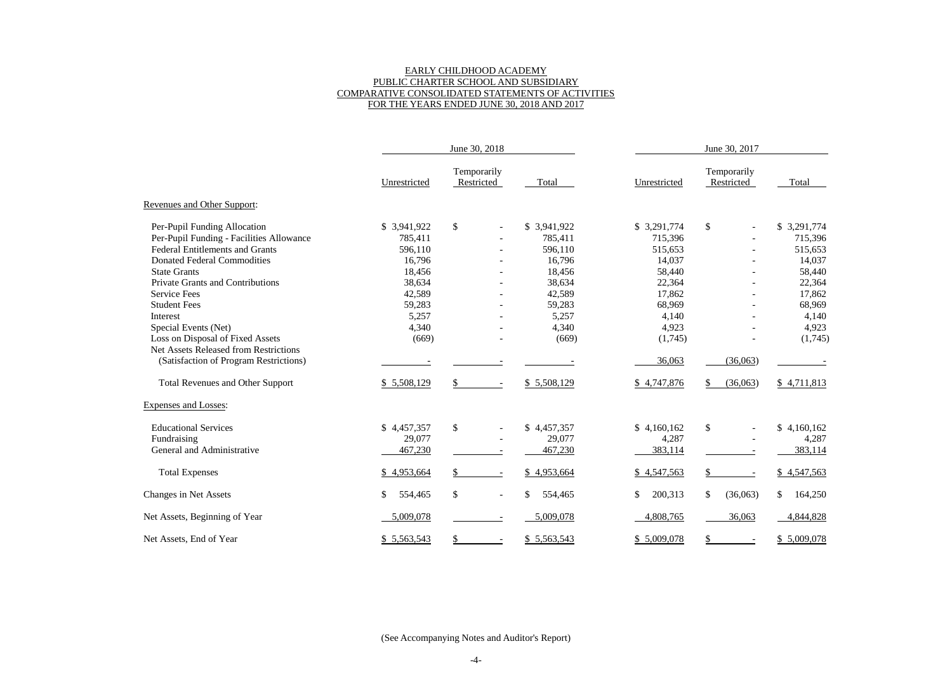# EARLY CHILDHOOD ACADEMY PUBLIC CHARTER SCHOOL AND SUBSIDIARY COMPARATIVE CONSOLIDATED STATEMENTS OF ACTIVITIES FOR THE YEARS ENDED JUNE 30, 2018 AND 2017

|                                              | June 30, 2018 |                           |               | June 30, 2017 |                           |               |  |  |
|----------------------------------------------|---------------|---------------------------|---------------|---------------|---------------------------|---------------|--|--|
|                                              | Unrestricted  | Temporarily<br>Restricted | Total         | Unrestricted  | Temporarily<br>Restricted | Total         |  |  |
| Revenues and Other Support:                  |               |                           |               |               |                           |               |  |  |
| Per-Pupil Funding Allocation                 | \$ 3,941,922  | $\boldsymbol{\mathsf{S}}$ | \$3,941,922   | \$3,291,774   | \$                        | \$3,291,774   |  |  |
| Per-Pupil Funding - Facilities Allowance     | 785,411       |                           | 785,411       | 715,396       |                           | 715,396       |  |  |
| <b>Federal Entitlements and Grants</b>       | 596,110       |                           | 596,110       | 515,653       |                           | 515,653       |  |  |
| <b>Donated Federal Commodities</b>           | 16,796        |                           | 16,796        | 14,037        |                           | 14,037        |  |  |
| <b>State Grants</b>                          | 18,456        |                           | 18,456        | 58,440        |                           | 58,440        |  |  |
| <b>Private Grants and Contributions</b>      | 38,634        |                           | 38,634        | 22,364        |                           | 22,364        |  |  |
| <b>Service Fees</b>                          | 42,589        |                           | 42,589        | 17,862        |                           | 17,862        |  |  |
| <b>Student Fees</b>                          | 59,283        |                           | 59,283        | 68,969        |                           | 68,969        |  |  |
| Interest                                     | 5,257         |                           | 5,257         | 4,140         |                           | 4,140         |  |  |
| Special Events (Net)                         | 4,340         |                           | 4,340         | 4,923         |                           | 4,923         |  |  |
| Loss on Disposal of Fixed Assets             | (669)         |                           | (669)         | (1,745)       |                           | (1,745)       |  |  |
| <b>Net Assets Released from Restrictions</b> |               |                           |               |               |                           |               |  |  |
| (Satisfaction of Program Restrictions)       |               |                           |               | 36,063        | (36,063)                  |               |  |  |
| <b>Total Revenues and Other Support</b>      | \$5,508,129   | \$                        | \$5,508,129   | \$4,747,876   | (36,063)                  | \$4,711,813   |  |  |
| <b>Expenses and Losses:</b>                  |               |                           |               |               |                           |               |  |  |
| <b>Educational Services</b>                  | \$4,457,357   | \$                        | \$4,457,357   | \$4,160,162   | \$                        | \$4,160,162   |  |  |
| Fundraising                                  | 29,077        |                           | 29,077        | 4,287         |                           | 4,287         |  |  |
| General and Administrative                   | 467,230       |                           | 467,230       | 383,114       |                           | 383,114       |  |  |
| <b>Total Expenses</b>                        | \$4,953,664   | \$                        | \$4,953,664   | \$4,547,563   | \$                        | \$4,547,563   |  |  |
| Changes in Net Assets                        | 554,465<br>\$ | \$                        | 554,465<br>\$ | 200,313<br>\$ | \$<br>(36,063)            | \$<br>164,250 |  |  |
| Net Assets, Beginning of Year                | 5,009,078     |                           | 5,009,078     | 4,808,765     | 36,063                    | 4,844,828     |  |  |
| Net Assets, End of Year                      | \$5,563,543   | \$                        | \$5,563,543   | \$5,009,078   | \$                        | \$5,009,078   |  |  |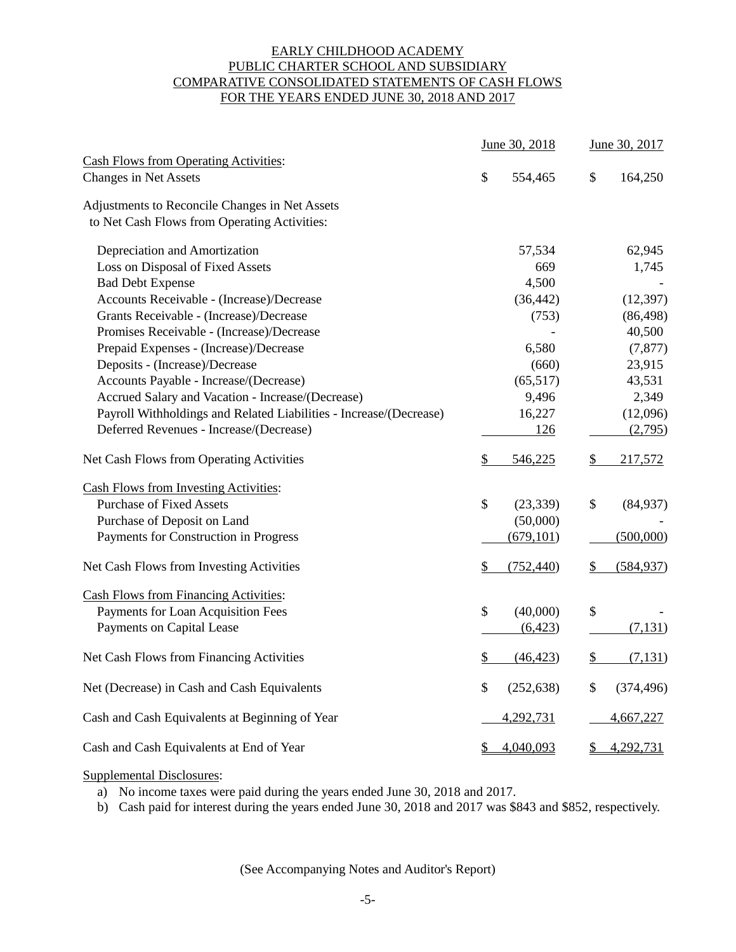# EARLY CHILDHOOD ACADEMY PUBLIC CHARTER SCHOOL AND SUBSIDIARY COMPARATIVE CONSOLIDATED STATEMENTS OF CASH FLOWS FOR THE YEARS ENDED JUNE 30, 2018 AND 2017

|                                                                              |               | June 30, 2018 | June 30, 2017    |  |
|------------------------------------------------------------------------------|---------------|---------------|------------------|--|
| <b>Cash Flows from Operating Activities:</b><br><b>Changes in Net Assets</b> | \$            | 554,465       | \$<br>164,250    |  |
| Adjustments to Reconcile Changes in Net Assets                               |               |               |                  |  |
| to Net Cash Flows from Operating Activities:                                 |               |               |                  |  |
| Depreciation and Amortization                                                |               | 57,534        | 62,945           |  |
| Loss on Disposal of Fixed Assets                                             |               | 669           | 1,745            |  |
| <b>Bad Debt Expense</b>                                                      |               | 4,500         |                  |  |
| Accounts Receivable - (Increase)/Decrease                                    |               | (36, 442)     | (12, 397)        |  |
| Grants Receivable - (Increase)/Decrease                                      |               | (753)         | (86, 498)        |  |
| Promises Receivable - (Increase)/Decrease                                    |               |               | 40,500           |  |
| Prepaid Expenses - (Increase)/Decrease                                       |               | 6,580         | (7, 877)         |  |
| Deposits - (Increase)/Decrease                                               |               | (660)         | 23,915           |  |
| Accounts Payable - Increase/(Decrease)                                       |               | (65, 517)     | 43,531           |  |
| Accrued Salary and Vacation - Increase/(Decrease)                            |               | 9,496         | 2,349            |  |
| Payroll Withholdings and Related Liabilities - Increase/(Decrease)           |               | 16,227        | (12,096)         |  |
| Deferred Revenues - Increase/(Decrease)                                      |               | 126           | (2,795)          |  |
| Net Cash Flows from Operating Activities                                     | \$            | 546,225       | \$<br>217,572    |  |
| <b>Cash Flows from Investing Activities:</b>                                 |               |               |                  |  |
| <b>Purchase of Fixed Assets</b>                                              | \$            | (23, 339)     | \$<br>(84,937)   |  |
| Purchase of Deposit on Land                                                  |               | (50,000)      |                  |  |
| Payments for Construction in Progress                                        |               | (679, 101)    | (500,000)        |  |
| Net Cash Flows from Investing Activities                                     | \$            | (752, 440)    | \$<br>(584, 937) |  |
| <b>Cash Flows from Financing Activities:</b>                                 |               |               |                  |  |
| Payments for Loan Acquisition Fees                                           | \$            | (40,000)      | \$               |  |
| Payments on Capital Lease                                                    |               | (6,423)       | (7, 131)         |  |
| Net Cash Flows from Financing Activities                                     | \$            | (46, 423)     | \$<br>(7,131)    |  |
| Net (Decrease) in Cash and Cash Equivalents                                  | \$            | (252, 638)    | \$<br>(374, 496) |  |
| Cash and Cash Equivalents at Beginning of Year                               |               | 4,292,731     | 4,667,227        |  |
| Cash and Cash Equivalents at End of Year                                     | $\frac{1}{2}$ | 4,040,093     | \$<br>4,292,731  |  |

## Supplemental Disclosures:

a) No income taxes were paid during the years ended June 30, 2018 and 2017.

b) Cash paid for interest during the years ended June 30, 2018 and 2017 was \$843 and \$852, respectively.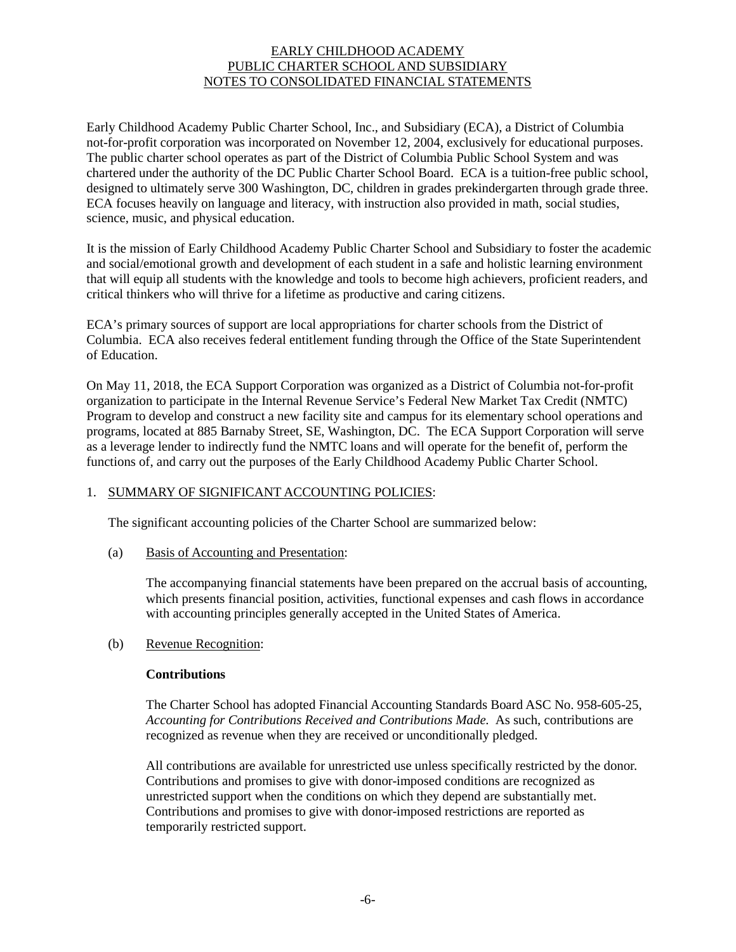Early Childhood Academy Public Charter School, Inc., and Subsidiary (ECA), a District of Columbia not-for-profit corporation was incorporated on November 12, 2004, exclusively for educational purposes. The public charter school operates as part of the District of Columbia Public School System and was chartered under the authority of the DC Public Charter School Board. ECA is a tuition-free public school, designed to ultimately serve 300 Washington, DC, children in grades prekindergarten through grade three. ECA focuses heavily on language and literacy, with instruction also provided in math, social studies, science, music, and physical education.

It is the mission of Early Childhood Academy Public Charter School and Subsidiary to foster the academic and social/emotional growth and development of each student in a safe and holistic learning environment that will equip all students with the knowledge and tools to become high achievers, proficient readers, and critical thinkers who will thrive for a lifetime as productive and caring citizens.

ECA's primary sources of support are local appropriations for charter schools from the District of Columbia. ECA also receives federal entitlement funding through the Office of the State Superintendent of Education.

On May 11, 2018, the ECA Support Corporation was organized as a District of Columbia not-for-profit organization to participate in the Internal Revenue Service's Federal New Market Tax Credit (NMTC) Program to develop and construct a new facility site and campus for its elementary school operations and programs, located at 885 Barnaby Street, SE, Washington, DC. The ECA Support Corporation will serve as a leverage lender to indirectly fund the NMTC loans and will operate for the benefit of, perform the functions of, and carry out the purposes of the Early Childhood Academy Public Charter School.

# 1. SUMMARY OF SIGNIFICANT ACCOUNTING POLICIES:

The significant accounting policies of the Charter School are summarized below:

(a) Basis of Accounting and Presentation:

The accompanying financial statements have been prepared on the accrual basis of accounting, which presents financial position, activities, functional expenses and cash flows in accordance with accounting principles generally accepted in the United States of America.

## (b) Revenue Recognition:

## **Contributions**

The Charter School has adopted Financial Accounting Standards Board ASC No. 958-605-25, *Accounting for Contributions Received and Contributions Made.* As such, contributions are recognized as revenue when they are received or unconditionally pledged.

All contributions are available for unrestricted use unless specifically restricted by the donor. Contributions and promises to give with donor-imposed conditions are recognized as unrestricted support when the conditions on which they depend are substantially met. Contributions and promises to give with donor-imposed restrictions are reported as temporarily restricted support.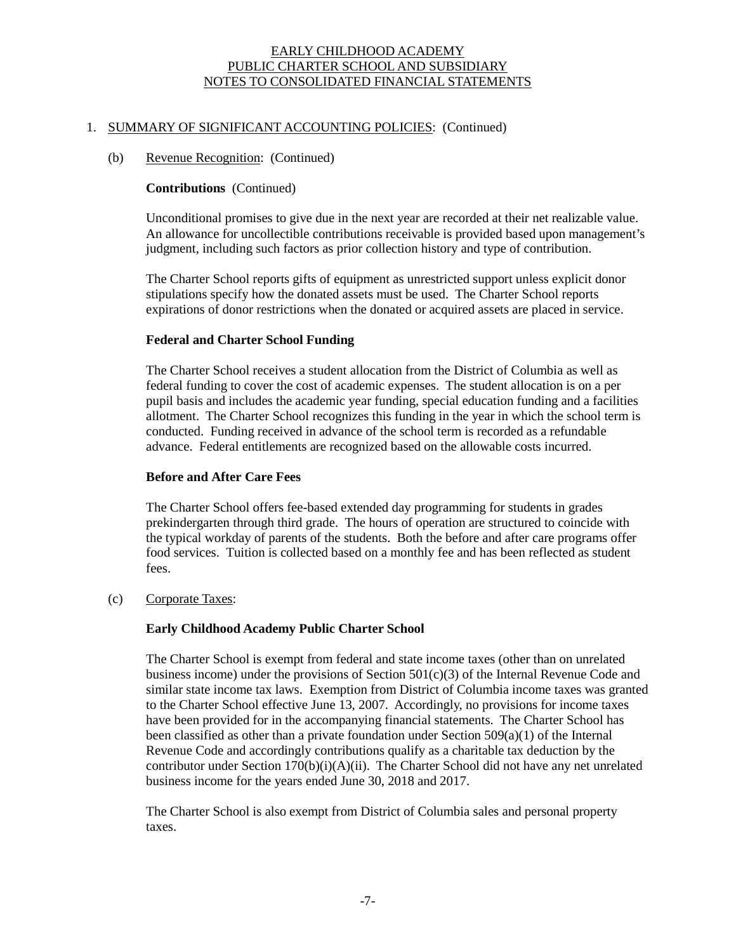#### 1. SUMMARY OF SIGNIFICANT ACCOUNTING POLICIES: (Continued)

#### (b) Revenue Recognition: (Continued)

#### **Contributions** (Continued)

Unconditional promises to give due in the next year are recorded at their net realizable value. An allowance for uncollectible contributions receivable is provided based upon management's judgment, including such factors as prior collection history and type of contribution.

The Charter School reports gifts of equipment as unrestricted support unless explicit donor stipulations specify how the donated assets must be used. The Charter School reports expirations of donor restrictions when the donated or acquired assets are placed in service.

#### **Federal and Charter School Funding**

The Charter School receives a student allocation from the District of Columbia as well as federal funding to cover the cost of academic expenses. The student allocation is on a per pupil basis and includes the academic year funding, special education funding and a facilities allotment. The Charter School recognizes this funding in the year in which the school term is conducted. Funding received in advance of the school term is recorded as a refundable advance. Federal entitlements are recognized based on the allowable costs incurred.

#### **Before and After Care Fees**

The Charter School offers fee-based extended day programming for students in grades prekindergarten through third grade. The hours of operation are structured to coincide with the typical workday of parents of the students. Both the before and after care programs offer food services. Tuition is collected based on a monthly fee and has been reflected as student fees.

(c) Corporate Taxes:

## **Early Childhood Academy Public Charter School**

The Charter School is exempt from federal and state income taxes (other than on unrelated business income) under the provisions of Section 501(c)(3) of the Internal Revenue Code and similar state income tax laws. Exemption from District of Columbia income taxes was granted to the Charter School effective June 13, 2007. Accordingly, no provisions for income taxes have been provided for in the accompanying financial statements. The Charter School has been classified as other than a private foundation under Section  $509(a)(1)$  of the Internal Revenue Code and accordingly contributions qualify as a charitable tax deduction by the contributor under Section  $170(b)(i)(A)(ii)$ . The Charter School did not have any net unrelated business income for the years ended June 30, 2018 and 2017.

The Charter School is also exempt from District of Columbia sales and personal property taxes.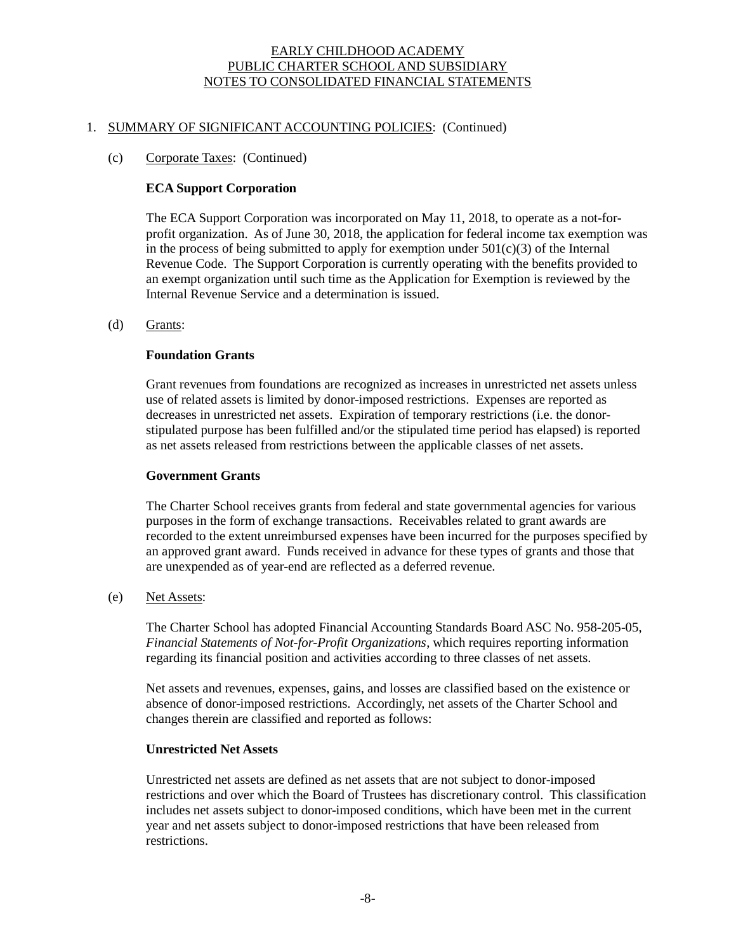#### 1. SUMMARY OF SIGNIFICANT ACCOUNTING POLICIES: (Continued)

#### (c) Corporate Taxes: (Continued)

#### **ECA Support Corporation**

The ECA Support Corporation was incorporated on May 11, 2018, to operate as a not-forprofit organization. As of June 30, 2018, the application for federal income tax exemption was in the process of being submitted to apply for exemption under  $501(c)(3)$  of the Internal Revenue Code. The Support Corporation is currently operating with the benefits provided to an exempt organization until such time as the Application for Exemption is reviewed by the Internal Revenue Service and a determination is issued.

# (d) Grants:

#### **Foundation Grants**

Grant revenues from foundations are recognized as increases in unrestricted net assets unless use of related assets is limited by donor-imposed restrictions. Expenses are reported as decreases in unrestricted net assets. Expiration of temporary restrictions (i.e. the donorstipulated purpose has been fulfilled and/or the stipulated time period has elapsed) is reported as net assets released from restrictions between the applicable classes of net assets.

#### **Government Grants**

The Charter School receives grants from federal and state governmental agencies for various purposes in the form of exchange transactions. Receivables related to grant awards are recorded to the extent unreimbursed expenses have been incurred for the purposes specified by an approved grant award. Funds received in advance for these types of grants and those that are unexpended as of year-end are reflected as a deferred revenue.

#### (e) Net Assets:

The Charter School has adopted Financial Accounting Standards Board ASC No. 958-205-05, *Financial Statements of Not-for-Profit Organizations*, which requires reporting information regarding its financial position and activities according to three classes of net assets.

Net assets and revenues, expenses, gains, and losses are classified based on the existence or absence of donor-imposed restrictions. Accordingly, net assets of the Charter School and changes therein are classified and reported as follows:

#### **Unrestricted Net Assets**

Unrestricted net assets are defined as net assets that are not subject to donor-imposed restrictions and over which the Board of Trustees has discretionary control. This classification includes net assets subject to donor-imposed conditions, which have been met in the current year and net assets subject to donor-imposed restrictions that have been released from restrictions.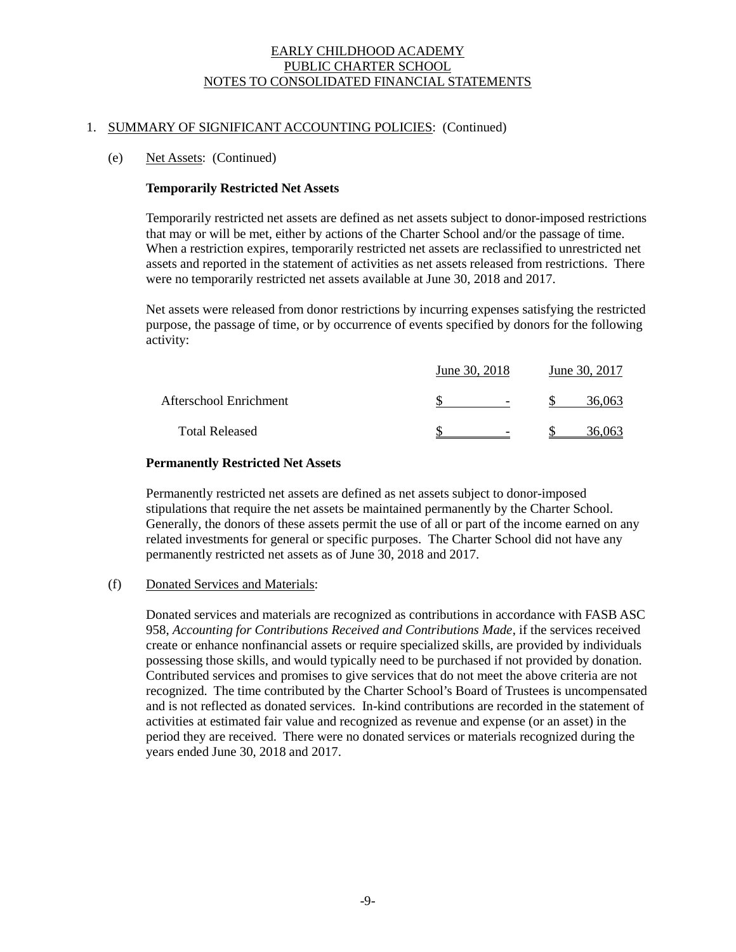## 1. SUMMARY OF SIGNIFICANT ACCOUNTING POLICIES: (Continued)

## (e) Net Assets: (Continued)

## **Temporarily Restricted Net Assets**

Temporarily restricted net assets are defined as net assets subject to donor-imposed restrictions that may or will be met, either by actions of the Charter School and/or the passage of time. When a restriction expires, temporarily restricted net assets are reclassified to unrestricted net assets and reported in the statement of activities as net assets released from restrictions. There were no temporarily restricted net assets available at June 30, 2018 and 2017.

Net assets were released from donor restrictions by incurring expenses satisfying the restricted purpose, the passage of time, or by occurrence of events specified by donors for the following activity:

|                        | June 30, 2018            | June 30, 2017 |  |  |
|------------------------|--------------------------|---------------|--|--|
| Afterschool Enrichment | $\overline{\phantom{a}}$ | 36.063        |  |  |
| <b>Total Released</b>  | $\overline{\phantom{0}}$ | 36 063        |  |  |

## **Permanently Restricted Net Assets**

Permanently restricted net assets are defined as net assets subject to donor-imposed stipulations that require the net assets be maintained permanently by the Charter School. Generally, the donors of these assets permit the use of all or part of the income earned on any related investments for general or specific purposes. The Charter School did not have any permanently restricted net assets as of June 30, 2018 and 2017.

## (f) Donated Services and Materials:

Donated services and materials are recognized as contributions in accordance with FASB ASC 958, *Accounting for Contributions Received and Contributions Made*, if the services received create or enhance nonfinancial assets or require specialized skills, are provided by individuals possessing those skills, and would typically need to be purchased if not provided by donation. Contributed services and promises to give services that do not meet the above criteria are not recognized. The time contributed by the Charter School's Board of Trustees is uncompensated and is not reflected as donated services. In-kind contributions are recorded in the statement of activities at estimated fair value and recognized as revenue and expense (or an asset) in the period they are received. There were no donated services or materials recognized during the years ended June 30, 2018 and 2017.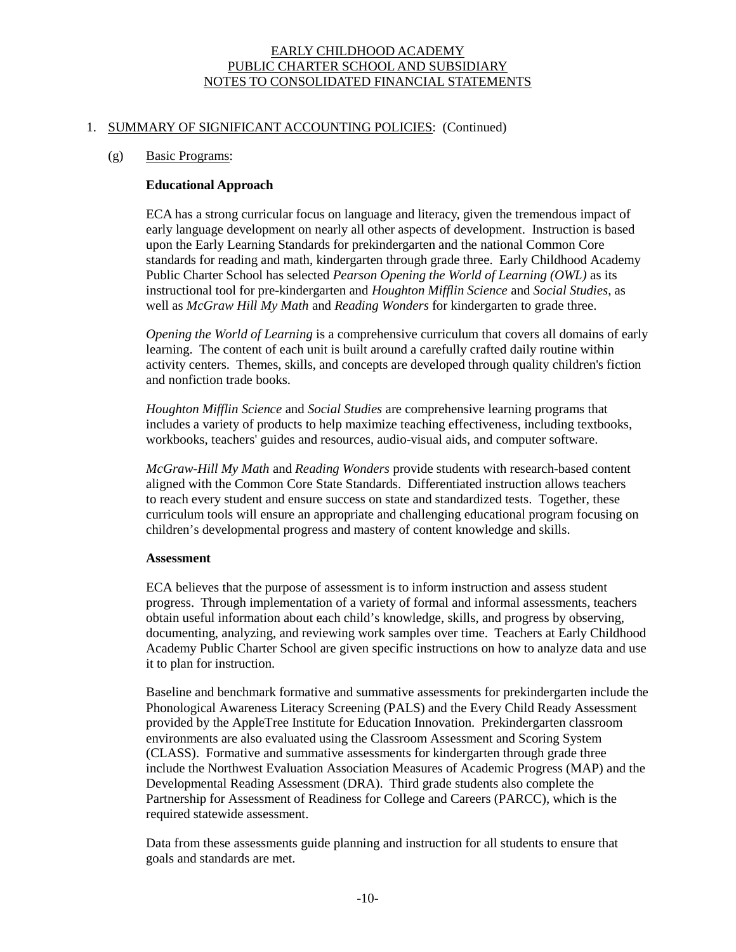#### 1. SUMMARY OF SIGNIFICANT ACCOUNTING POLICIES: (Continued)

#### (g) Basic Programs:

#### **Educational Approach**

ECA has a strong curricular focus on language and literacy, given the tremendous impact of early language development on nearly all other aspects of development. Instruction is based upon the Early Learning Standards for prekindergarten and the national Common Core standards for reading and math, kindergarten through grade three. Early Childhood Academy Public Charter School has selected *Pearson Opening the World of Learning (OWL)* as its instructional tool for pre-kindergarten and *Houghton Mifflin Science* and *Social Studies*, as well as *McGraw Hill My Math* and *Reading Wonders* for kindergarten to grade three.

*Opening the World of Learning* is a comprehensive curriculum that covers all domains of early learning. The content of each unit is built around a carefully crafted daily routine within activity centers. Themes, skills, and concepts are developed through quality children's fiction and nonfiction trade books.

*Houghton Mifflin Science* and *Social Studies* are comprehensive learning programs that includes a variety of products to help maximize teaching effectiveness, including textbooks, workbooks, teachers' guides and resources, audio-visual aids, and computer software.

*McGraw-Hill My Math* and *Reading Wonders* provide students with research-based content aligned with the Common Core State Standards. Differentiated instruction allows teachers to reach every student and ensure success on state and standardized tests. Together, these curriculum tools will ensure an appropriate and challenging educational program focusing on children's developmental progress and mastery of content knowledge and skills.

#### **Assessment**

ECA believes that the purpose of assessment is to inform instruction and assess student progress. Through implementation of a variety of formal and informal assessments, teachers obtain useful information about each child's knowledge, skills, and progress by observing, documenting, analyzing, and reviewing work samples over time. Teachers at Early Childhood Academy Public Charter School are given specific instructions on how to analyze data and use it to plan for instruction.

Baseline and benchmark formative and summative assessments for prekindergarten include the Phonological Awareness Literacy Screening (PALS) and the Every Child Ready Assessment provided by the AppleTree Institute for Education Innovation. Prekindergarten classroom environments are also evaluated using the Classroom Assessment and Scoring System (CLASS). Formative and summative assessments for kindergarten through grade three include the Northwest Evaluation Association Measures of Academic Progress (MAP) and the Developmental Reading Assessment (DRA). Third grade students also complete the Partnership for Assessment of Readiness for College and Careers (PARCC), which is the required statewide assessment.

Data from these assessments guide planning and instruction for all students to ensure that goals and standards are met.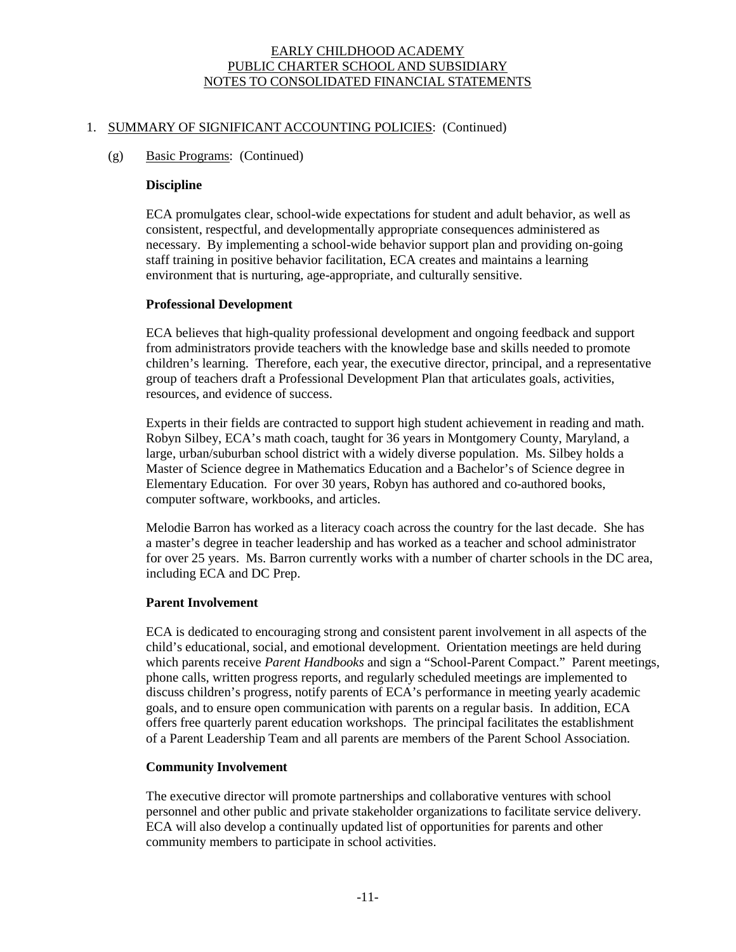## 1. SUMMARY OF SIGNIFICANT ACCOUNTING POLICIES: (Continued)

## (g) Basic Programs: (Continued)

#### **Discipline**

ECA promulgates clear, school-wide expectations for student and adult behavior, as well as consistent, respectful, and developmentally appropriate consequences administered as necessary. By implementing a school-wide behavior support plan and providing on-going staff training in positive behavior facilitation, ECA creates and maintains a learning environment that is nurturing, age-appropriate, and culturally sensitive.

# **Professional Development**

ECA believes that high-quality professional development and ongoing feedback and support from administrators provide teachers with the knowledge base and skills needed to promote children's learning. Therefore, each year, the executive director, principal, and a representative group of teachers draft a Professional Development Plan that articulates goals, activities, resources, and evidence of success.

Experts in their fields are contracted to support high student achievement in reading and math. Robyn Silbey, ECA's math coach, taught for 36 years in Montgomery County, Maryland, a large, urban/suburban school district with a widely diverse population. Ms. Silbey holds a Master of Science degree in Mathematics Education and a Bachelor's of Science degree in Elementary Education. For over 30 years, Robyn has authored and co-authored books, computer software, workbooks, and articles.

Melodie Barron has worked as a literacy coach across the country for the last decade. She has a master's degree in teacher leadership and has worked as a teacher and school administrator for over 25 years. Ms. Barron currently works with a number of charter schools in the DC area, including ECA and DC Prep.

## **Parent Involvement**

ECA is dedicated to encouraging strong and consistent parent involvement in all aspects of the child's educational, social, and emotional development. Orientation meetings are held during which parents receive *Parent Handbooks* and sign a "School-Parent Compact." Parent meetings, phone calls, written progress reports, and regularly scheduled meetings are implemented to discuss children's progress, notify parents of ECA's performance in meeting yearly academic goals, and to ensure open communication with parents on a regular basis. In addition, ECA offers free quarterly parent education workshops. The principal facilitates the establishment of a Parent Leadership Team and all parents are members of the Parent School Association.

## **Community Involvement**

The executive director will promote partnerships and collaborative ventures with school personnel and other public and private stakeholder organizations to facilitate service delivery. ECA will also develop a continually updated list of opportunities for parents and other community members to participate in school activities.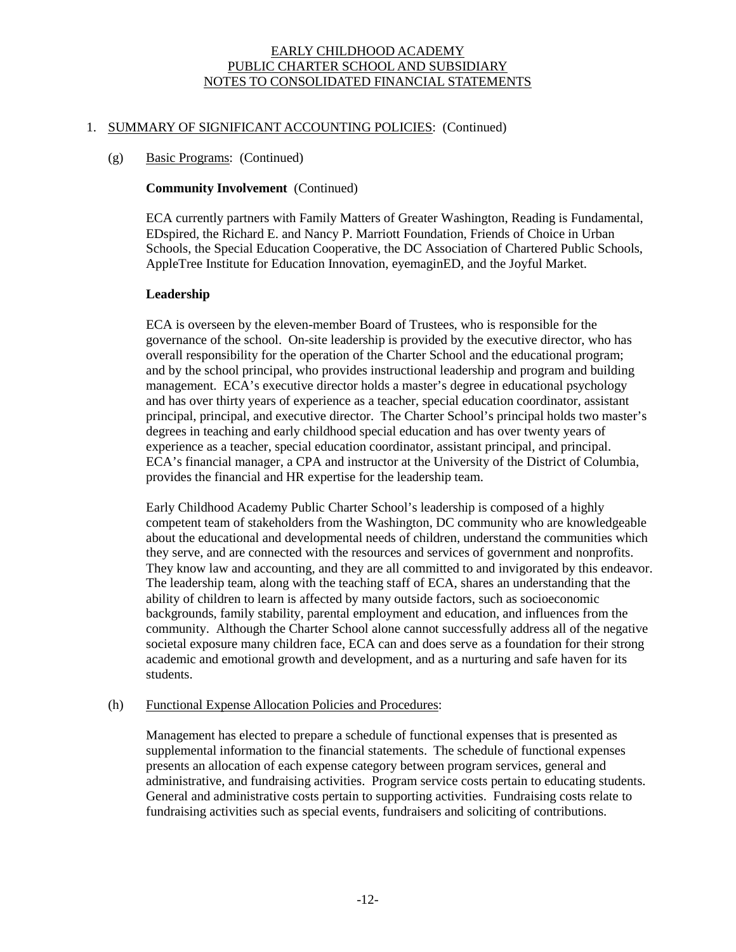## 1. SUMMARY OF SIGNIFICANT ACCOUNTING POLICIES: (Continued)

# (g) Basic Programs: (Continued)

## **Community Involvement** (Continued)

ECA currently partners with Family Matters of Greater Washington, Reading is Fundamental, EDspired, the Richard E. and Nancy P. Marriott Foundation, Friends of Choice in Urban Schools, the Special Education Cooperative, the DC Association of Chartered Public Schools, AppleTree Institute for Education Innovation, eyemaginED, and the Joyful Market.

# **Leadership**

ECA is overseen by the eleven-member Board of Trustees, who is responsible for the governance of the school. On-site leadership is provided by the executive director, who has overall responsibility for the operation of the Charter School and the educational program; and by the school principal, who provides instructional leadership and program and building management. ECA's executive director holds a master's degree in educational psychology and has over thirty years of experience as a teacher, special education coordinator, assistant principal, principal, and executive director. The Charter School's principal holds two master's degrees in teaching and early childhood special education and has over twenty years of experience as a teacher, special education coordinator, assistant principal, and principal. ECA's financial manager, a CPA and instructor at the University of the District of Columbia, provides the financial and HR expertise for the leadership team.

Early Childhood Academy Public Charter School's leadership is composed of a highly competent team of stakeholders from the Washington, DC community who are knowledgeable about the educational and developmental needs of children, understand the communities which they serve, and are connected with the resources and services of government and nonprofits. They know law and accounting, and they are all committed to and invigorated by this endeavor. The leadership team, along with the teaching staff of ECA, shares an understanding that the ability of children to learn is affected by many outside factors, such as socioeconomic backgrounds, family stability, parental employment and education, and influences from the community. Although the Charter School alone cannot successfully address all of the negative societal exposure many children face, ECA can and does serve as a foundation for their strong academic and emotional growth and development, and as a nurturing and safe haven for its students.

## (h) Functional Expense Allocation Policies and Procedures:

Management has elected to prepare a schedule of functional expenses that is presented as supplemental information to the financial statements. The schedule of functional expenses presents an allocation of each expense category between program services, general and administrative, and fundraising activities. Program service costs pertain to educating students. General and administrative costs pertain to supporting activities. Fundraising costs relate to fundraising activities such as special events, fundraisers and soliciting of contributions.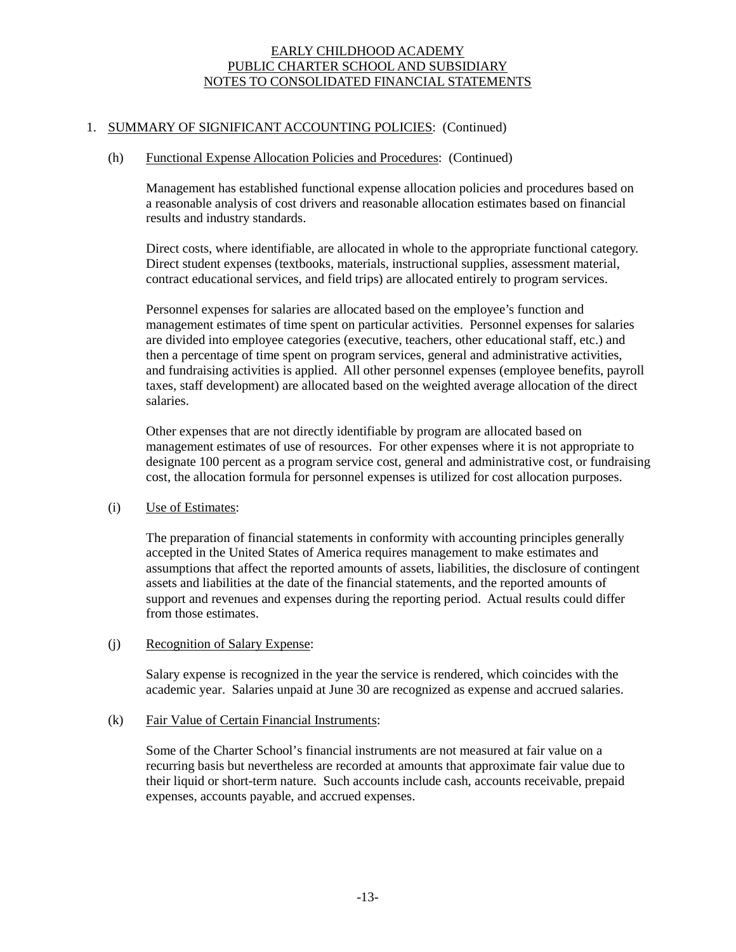## 1. SUMMARY OF SIGNIFICANT ACCOUNTING POLICIES: (Continued)

#### (h) Functional Expense Allocation Policies and Procedures: (Continued)

Management has established functional expense allocation policies and procedures based on a reasonable analysis of cost drivers and reasonable allocation estimates based on financial results and industry standards.

Direct costs, where identifiable, are allocated in whole to the appropriate functional category. Direct student expenses (textbooks, materials, instructional supplies, assessment material, contract educational services, and field trips) are allocated entirely to program services.

Personnel expenses for salaries are allocated based on the employee's function and management estimates of time spent on particular activities. Personnel expenses for salaries are divided into employee categories (executive, teachers, other educational staff, etc.) and then a percentage of time spent on program services, general and administrative activities, and fundraising activities is applied. All other personnel expenses (employee benefits, payroll taxes, staff development) are allocated based on the weighted average allocation of the direct salaries.

Other expenses that are not directly identifiable by program are allocated based on management estimates of use of resources. For other expenses where it is not appropriate to designate 100 percent as a program service cost, general and administrative cost, or fundraising cost, the allocation formula for personnel expenses is utilized for cost allocation purposes.

## (i) Use of Estimates:

The preparation of financial statements in conformity with accounting principles generally accepted in the United States of America requires management to make estimates and assumptions that affect the reported amounts of assets, liabilities, the disclosure of contingent assets and liabilities at the date of the financial statements, and the reported amounts of support and revenues and expenses during the reporting period. Actual results could differ from those estimates.

## (j) Recognition of Salary Expense:

Salary expense is recognized in the year the service is rendered, which coincides with the academic year. Salaries unpaid at June 30 are recognized as expense and accrued salaries.

## (k) Fair Value of Certain Financial Instruments:

Some of the Charter School's financial instruments are not measured at fair value on a recurring basis but nevertheless are recorded at amounts that approximate fair value due to their liquid or short-term nature. Such accounts include cash, accounts receivable, prepaid expenses, accounts payable, and accrued expenses.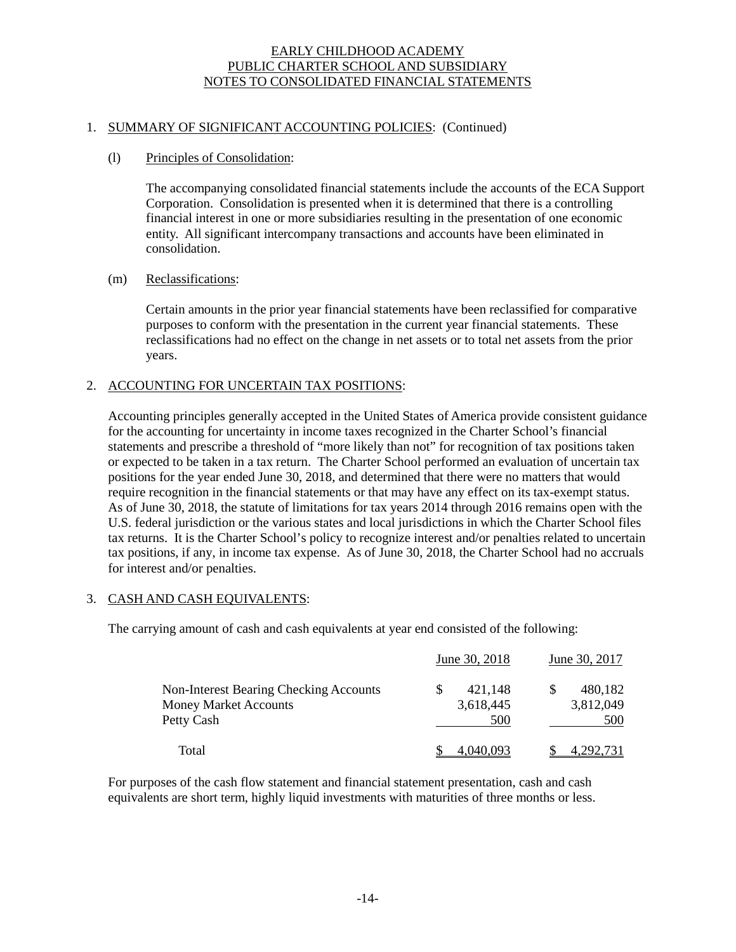## 1. SUMMARY OF SIGNIFICANT ACCOUNTING POLICIES: (Continued)

#### (l) Principles of Consolidation:

The accompanying consolidated financial statements include the accounts of the ECA Support Corporation. Consolidation is presented when it is determined that there is a controlling financial interest in one or more subsidiaries resulting in the presentation of one economic entity. All significant intercompany transactions and accounts have been eliminated in consolidation.

#### (m) Reclassifications:

Certain amounts in the prior year financial statements have been reclassified for comparative purposes to conform with the presentation in the current year financial statements. These reclassifications had no effect on the change in net assets or to total net assets from the prior years.

## 2. ACCOUNTING FOR UNCERTAIN TAX POSITIONS:

Accounting principles generally accepted in the United States of America provide consistent guidance for the accounting for uncertainty in income taxes recognized in the Charter School's financial statements and prescribe a threshold of "more likely than not" for recognition of tax positions taken or expected to be taken in a tax return. The Charter School performed an evaluation of uncertain tax positions for the year ended June 30, 2018, and determined that there were no matters that would require recognition in the financial statements or that may have any effect on its tax-exempt status. As of June 30, 2018, the statute of limitations for tax years 2014 through 2016 remains open with the U.S. federal jurisdiction or the various states and local jurisdictions in which the Charter School files tax returns. It is the Charter School's policy to recognize interest and/or penalties related to uncertain tax positions, if any, in income tax expense. As of June 30, 2018, the Charter School had no accruals for interest and/or penalties.

## 3. CASH AND CASH EQUIVALENTS:

The carrying amount of cash and cash equivalents at year end consisted of the following:

|                                        |   | June 30, 2018 | June 30, 2017 |
|----------------------------------------|---|---------------|---------------|
| Non-Interest Bearing Checking Accounts | S | 421.148       | 480,182       |
| <b>Money Market Accounts</b>           |   | 3,618,445     | 3,812,049     |
| Petty Cash                             |   | 500           | 500           |
| Total                                  |   | .040.093      |               |

For purposes of the cash flow statement and financial statement presentation, cash and cash equivalents are short term, highly liquid investments with maturities of three months or less.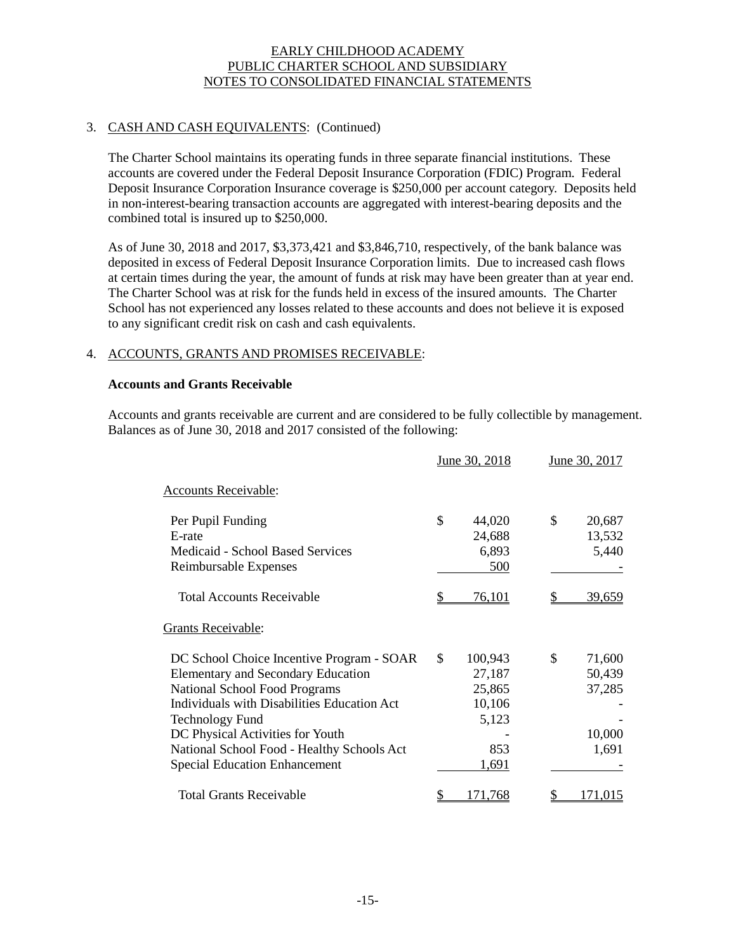# 3. CASH AND CASH EQUIVALENTS: (Continued)

The Charter School maintains its operating funds in three separate financial institutions. These accounts are covered under the Federal Deposit Insurance Corporation (FDIC) Program. Federal Deposit Insurance Corporation Insurance coverage is \$250,000 per account category. Deposits held in non-interest-bearing transaction accounts are aggregated with interest-bearing deposits and the combined total is insured up to \$250,000.

As of June 30, 2018 and 2017, \$3,373,421 and \$3,846,710, respectively, of the bank balance was deposited in excess of Federal Deposit Insurance Corporation limits. Due to increased cash flows at certain times during the year, the amount of funds at risk may have been greater than at year end. The Charter School was at risk for the funds held in excess of the insured amounts. The Charter School has not experienced any losses related to these accounts and does not believe it is exposed to any significant credit risk on cash and cash equivalents.

## 4. ACCOUNTS, GRANTS AND PROMISES RECEIVABLE:

#### **Accounts and Grants Receivable**

Accounts and grants receivable are current and are considered to be fully collectible by management. Balances as of June 30, 2018 and 2017 consisted of the following:

|                                                                                                                                                                                                                                                                                                                                   |               | June 30, 2018                                                  | June 30, 2017                                       |
|-----------------------------------------------------------------------------------------------------------------------------------------------------------------------------------------------------------------------------------------------------------------------------------------------------------------------------------|---------------|----------------------------------------------------------------|-----------------------------------------------------|
| <b>Accounts Receivable:</b>                                                                                                                                                                                                                                                                                                       |               |                                                                |                                                     |
| Per Pupil Funding<br>E-rate<br><b>Medicaid - School Based Services</b><br>Reimbursable Expenses                                                                                                                                                                                                                                   | \$            | 44,020<br>24,688<br>6,893<br>500                               | \$<br>20,687<br>13,532<br>5,440                     |
| <b>Total Accounts Receivable</b>                                                                                                                                                                                                                                                                                                  |               | 76,101                                                         | <u>39,659</u>                                       |
| <b>Grants Receivable:</b>                                                                                                                                                                                                                                                                                                         |               |                                                                |                                                     |
| DC School Choice Incentive Program - SOAR<br><b>Elementary and Secondary Education</b><br><b>National School Food Programs</b><br>Individuals with Disabilities Education Act<br><b>Technology Fund</b><br>DC Physical Activities for Youth<br>National School Food - Healthy Schools Act<br><b>Special Education Enhancement</b> | $\mathcal{S}$ | 100,943<br>27,187<br>25,865<br>10,106<br>5,123<br>853<br>1,691 | \$<br>71,600<br>50,439<br>37,285<br>10,000<br>1,691 |
| <b>Total Grants Receivable</b>                                                                                                                                                                                                                                                                                                    |               | 171.768                                                        | 171.015                                             |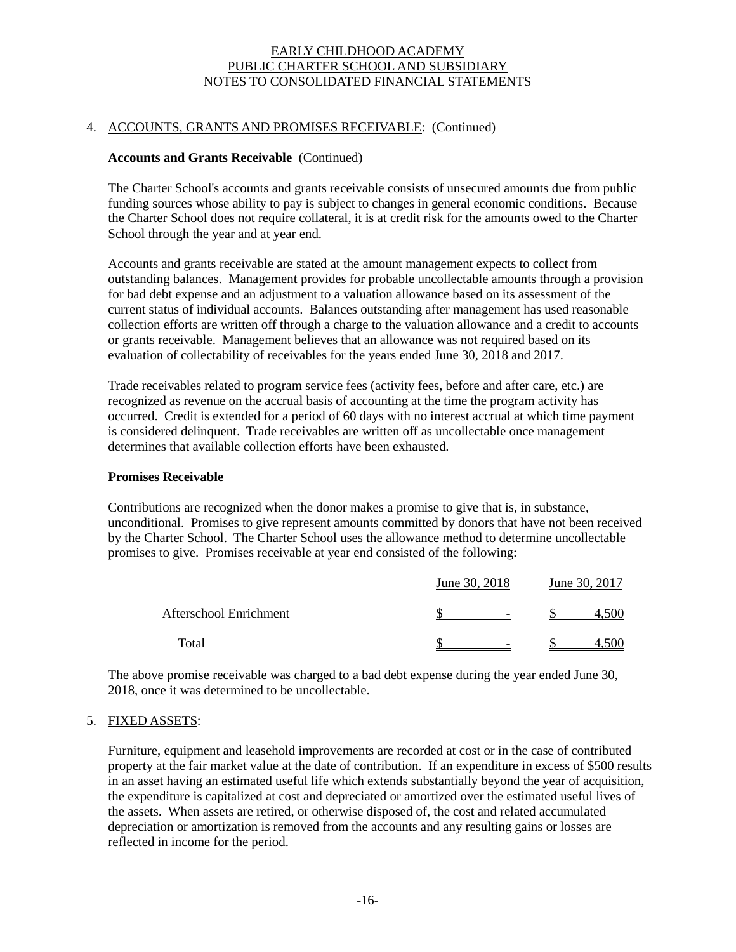## 4. ACCOUNTS, GRANTS AND PROMISES RECEIVABLE: (Continued)

#### **Accounts and Grants Receivable** (Continued)

The Charter School's accounts and grants receivable consists of unsecured amounts due from public funding sources whose ability to pay is subject to changes in general economic conditions. Because the Charter School does not require collateral, it is at credit risk for the amounts owed to the Charter School through the year and at year end.

Accounts and grants receivable are stated at the amount management expects to collect from outstanding balances. Management provides for probable uncollectable amounts through a provision for bad debt expense and an adjustment to a valuation allowance based on its assessment of the current status of individual accounts. Balances outstanding after management has used reasonable collection efforts are written off through a charge to the valuation allowance and a credit to accounts or grants receivable. Management believes that an allowance was not required based on its evaluation of collectability of receivables for the years ended June 30, 2018 and 2017.

Trade receivables related to program service fees (activity fees, before and after care, etc.) are recognized as revenue on the accrual basis of accounting at the time the program activity has occurred. Credit is extended for a period of 60 days with no interest accrual at which time payment is considered delinquent. Trade receivables are written off as uncollectable once management determines that available collection efforts have been exhausted.

#### **Promises Receivable**

Contributions are recognized when the donor makes a promise to give that is, in substance, unconditional. Promises to give represent amounts committed by donors that have not been received by the Charter School. The Charter School uses the allowance method to determine uncollectable promises to give. Promises receivable at year end consisted of the following:

|                        | June 30, 2018            | June 30, 2017 |  |  |
|------------------------|--------------------------|---------------|--|--|
| Afterschool Enrichment | $\overline{\phantom{0}}$ |               |  |  |
| Total                  | $\overline{\phantom{0}}$ |               |  |  |

The above promise receivable was charged to a bad debt expense during the year ended June 30, 2018, once it was determined to be uncollectable.

## 5. FIXED ASSETS:

Furniture, equipment and leasehold improvements are recorded at cost or in the case of contributed property at the fair market value at the date of contribution. If an expenditure in excess of \$500 results in an asset having an estimated useful life which extends substantially beyond the year of acquisition, the expenditure is capitalized at cost and depreciated or amortized over the estimated useful lives of the assets. When assets are retired, or otherwise disposed of, the cost and related accumulated depreciation or amortization is removed from the accounts and any resulting gains or losses are reflected in income for the period.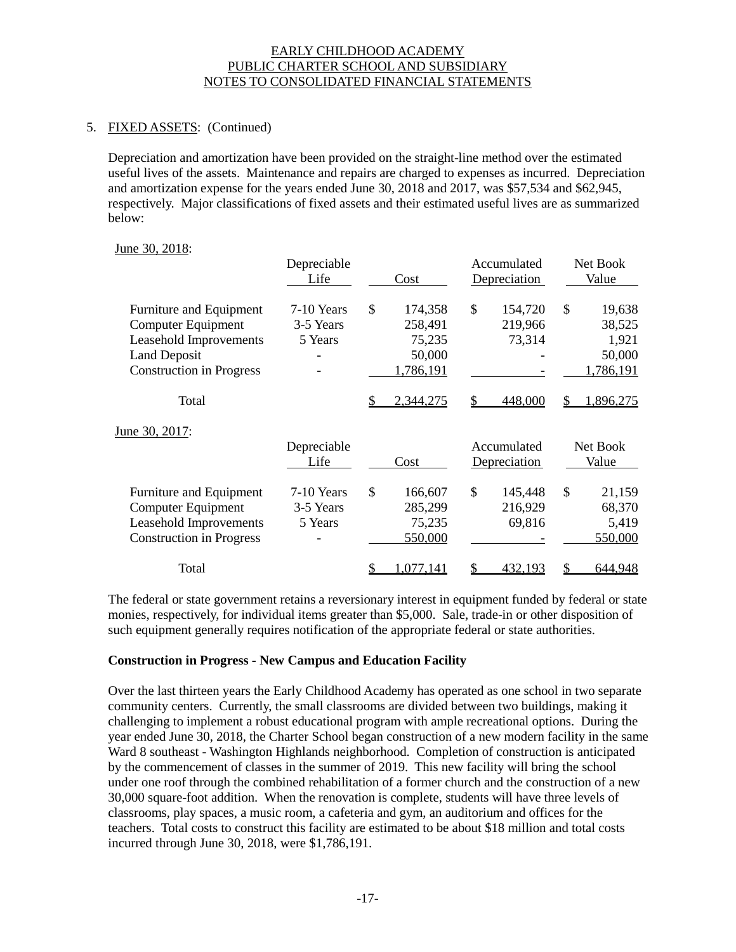# 5. FIXED ASSETS: (Continued)

Depreciation and amortization have been provided on the straight-line method over the estimated useful lives of the assets. Maintenance and repairs are charged to expenses as incurred. Depreciation and amortization expense for the years ended June 30, 2018 and 2017, was \$57,534 and \$62,945, respectively. Major classifications of fixed assets and their estimated useful lives are as summarized below:

## June 30, 2018:

|                                 | Depreciable<br>Life | Cost            | Accumulated<br>Depreciation |    | Net Book<br>Value |
|---------------------------------|---------------------|-----------------|-----------------------------|----|-------------------|
| Furniture and Equipment         | 7-10 Years          | \$<br>174,358   | \$<br>154,720               | \$ | 19,638            |
| <b>Computer Equipment</b>       | 3-5 Years           | 258,491         | 219,966                     |    | 38,525            |
| Leasehold Improvements          | 5 Years             | 75,235          | 73,314                      |    | 1,921             |
| <b>Land Deposit</b>             |                     | 50,000          |                             |    | 50,000            |
| <b>Construction in Progress</b> |                     | 1,786,191       |                             |    | 1,786,191         |
| Total                           |                     | 2,344,275       | 448,000                     | S  | ,896,275          |
| June 30, 2017:                  |                     |                 |                             |    |                   |
|                                 | Depreciable         |                 | Accumulated                 |    | Net Book          |
|                                 | Life                | Cost            | Depreciation                |    | Value             |
| Furniture and Equipment         | 7-10 Years          | \$<br>166,607   | \$<br>145,448               | \$ | 21,159            |
| Computer Equipment              | 3-5 Years           | 285,299         | 216,929                     |    | 68,370            |
| Leasehold Improvements          | 5 Years             | 75,235          | 69,816                      |    | 5,419             |
| <b>Construction in Progress</b> |                     | 550,000         |                             |    | 550,000           |
| Total                           |                     | \$<br>1,077,141 | \$<br>432,193               | \$ | 644,948           |

The federal or state government retains a reversionary interest in equipment funded by federal or state monies, respectively, for individual items greater than \$5,000. Sale, trade-in or other disposition of such equipment generally requires notification of the appropriate federal or state authorities.

## **Construction in Progress - New Campus and Education Facility**

Over the last thirteen years the Early Childhood Academy has operated as one school in two separate community centers. Currently, the small classrooms are divided between two buildings, making it challenging to implement a robust educational program with ample recreational options. During the year ended June 30, 2018, the Charter School began construction of a new modern facility in the same Ward 8 southeast - Washington Highlands neighborhood. Completion of construction is anticipated by the commencement of classes in the summer of 2019. This new facility will bring the school under one roof through the combined rehabilitation of a former church and the construction of a new 30,000 square-foot addition. When the renovation is complete, students will have three levels of classrooms, play spaces, a music room, a cafeteria and gym, an auditorium and offices for the teachers. Total costs to construct this facility are estimated to be about \$18 million and total costs incurred through June 30, 2018, were \$1,786,191.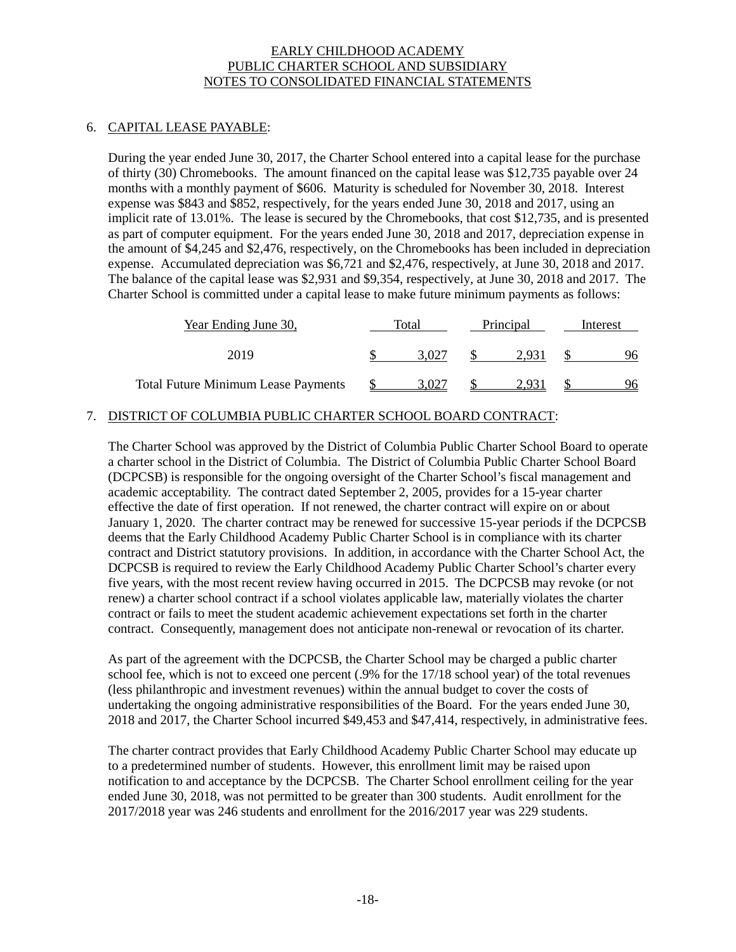## 6. CAPITAL LEASE PAYABLE:

During the year ended June 30, 2017, the Charter School entered into a capital lease for the purchase of thirty (30) Chromebooks. The amount financed on the capital lease was \$12,735 payable over 24 months with a monthly payment of \$606. Maturity is scheduled for November 30, 2018. Interest expense was \$843 and \$852, respectively, for the years ended June 30, 2018 and 2017, using an implicit rate of 13.01%. The lease is secured by the Chromebooks, that cost \$12,735, and is presented as part of computer equipment. For the years ended June 30, 2018 and 2017, depreciation expense in the amount of \$4,245 and \$2,476, respectively, on the Chromebooks has been included in depreciation expense. Accumulated depreciation was \$6,721 and \$2,476, respectively, at June 30, 2018 and 2017. The balance of the capital lease was \$2,931 and \$9,354, respectively, at June 30, 2018 and 2017. The Charter School is committed under a capital lease to make future minimum payments as follows:

| Year Ending June 30,                       | Total | Principal | Interest |
|--------------------------------------------|-------|-----------|----------|
| 2019                                       | 3.027 | 2.931     | 96       |
| <b>Total Future Minimum Lease Payments</b> | 3.027 | 2.931     | 96       |

# 7. DISTRICT OF COLUMBIA PUBLIC CHARTER SCHOOL BOARD CONTRACT:

The Charter School was approved by the District of Columbia Public Charter School Board to operate a charter school in the District of Columbia. The District of Columbia Public Charter School Board (DCPCSB) is responsible for the ongoing oversight of the Charter School's fiscal management and academic acceptability. The contract dated September 2, 2005, provides for a 15-year charter effective the date of first operation. If not renewed, the charter contract will expire on or about January 1, 2020. The charter contract may be renewed for successive 15-year periods if the DCPCSB deems that the Early Childhood Academy Public Charter School is in compliance with its charter contract and District statutory provisions. In addition, in accordance with the Charter School Act, the DCPCSB is required to review the Early Childhood Academy Public Charter School's charter every five years, with the most recent review having occurred in 2015. The DCPCSB may revoke (or not renew) a charter school contract if a school violates applicable law, materially violates the charter contract or fails to meet the student academic achievement expectations set forth in the charter contract. Consequently, management does not anticipate non-renewal or revocation of its charter.

As part of the agreement with the DCPCSB, the Charter School may be charged a public charter school fee, which is not to exceed one percent (.9% for the 17/18 school year) of the total revenues (less philanthropic and investment revenues) within the annual budget to cover the costs of undertaking the ongoing administrative responsibilities of the Board. For the years ended June 30, 2018 and 2017, the Charter School incurred \$49,453 and \$47,414, respectively, in administrative fees.

The charter contract provides that Early Childhood Academy Public Charter School may educate up to a predetermined number of students. However, this enrollment limit may be raised upon notification to and acceptance by the DCPCSB. The Charter School enrollment ceiling for the year ended June 30, 2018, was not permitted to be greater than 300 students. Audit enrollment for the 2017/2018 year was 246 students and enrollment for the 2016/2017 year was 229 students.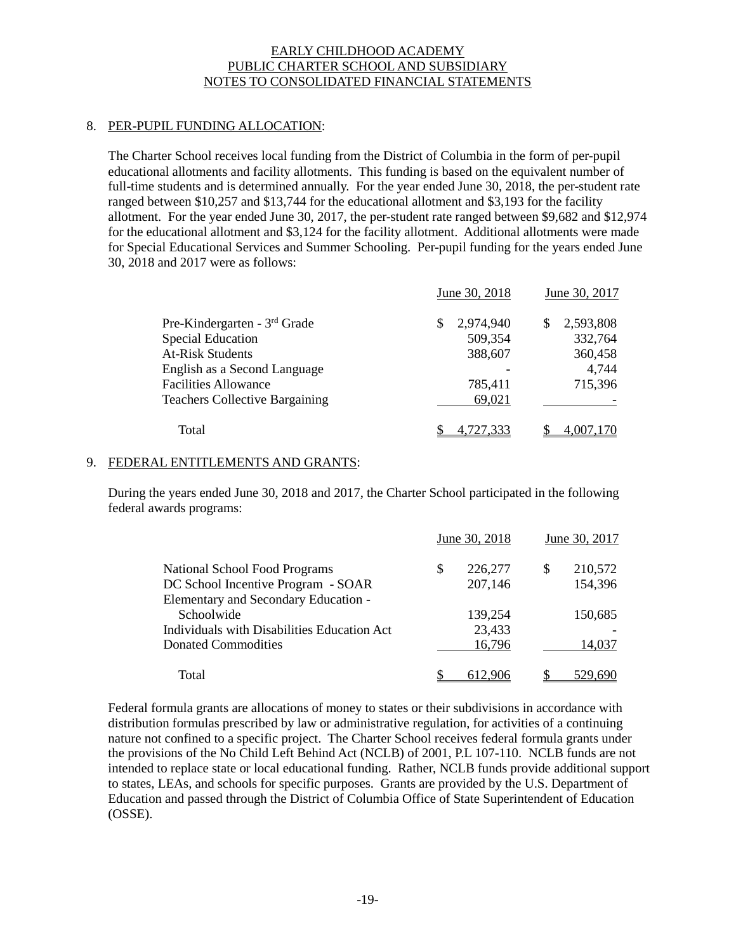# 8. PER-PUPIL FUNDING ALLOCATION:

The Charter School receives local funding from the District of Columbia in the form of per-pupil educational allotments and facility allotments. This funding is based on the equivalent number of full-time students and is determined annually. For the year ended June 30, 2018, the per-student rate ranged between \$10,257 and \$13,744 for the educational allotment and \$3,193 for the facility allotment. For the year ended June 30, 2017, the per-student rate ranged between \$9,682 and \$12,974 for the educational allotment and \$3,124 for the facility allotment. Additional allotments were made for Special Educational Services and Summer Schooling. Per-pupil funding for the years ended June 30, 2018 and 2017 were as follows:

|                                       | June 30, 2018  | June 30, 2017    |
|---------------------------------------|----------------|------------------|
| Pre-Kindergarten - 3rd Grade          | 2,974,940<br>S | 2,593,808<br>\$. |
| <b>Special Education</b>              | 509,354        | 332,764          |
| <b>At-Risk Students</b>               | 388,607        | 360,458          |
| English as a Second Language          |                | 4,744            |
| <b>Facilities Allowance</b>           | 785,411        | 715,396          |
| <b>Teachers Collective Bargaining</b> | 69,021         |                  |
| Total                                 | 4,727,333      |                  |

# 9. FEDERAL ENTITLEMENTS AND GRANTS:

During the years ended June 30, 2018 and 2017, the Charter School participated in the following federal awards programs:

|                                                                                                   | June 30, 2018            |   | June 30, 2017      |
|---------------------------------------------------------------------------------------------------|--------------------------|---|--------------------|
| National School Food Programs<br>DC School Incentive Program - SOAR                               | \$<br>226,277<br>207,146 | S | 210,572<br>154,396 |
| Elementary and Secondary Education -<br>Schoolwide<br>Individuals with Disabilities Education Act | 139,254<br>23,433        |   | 150,685            |
| Donated Commodities                                                                               | 16,796                   |   | 14,037             |
| Total                                                                                             |                          |   |                    |

Federal formula grants are allocations of money to states or their subdivisions in accordance with distribution formulas prescribed by law or administrative regulation, for activities of a continuing nature not confined to a specific project. The Charter School receives federal formula grants under the provisions of the No Child Left Behind Act (NCLB) of 2001, P.L 107-110. NCLB funds are not intended to replace state or local educational funding. Rather, NCLB funds provide additional support to states, LEAs, and schools for specific purposes. Grants are provided by the U.S. Department of Education and passed through the District of Columbia Office of State Superintendent of Education (OSSE).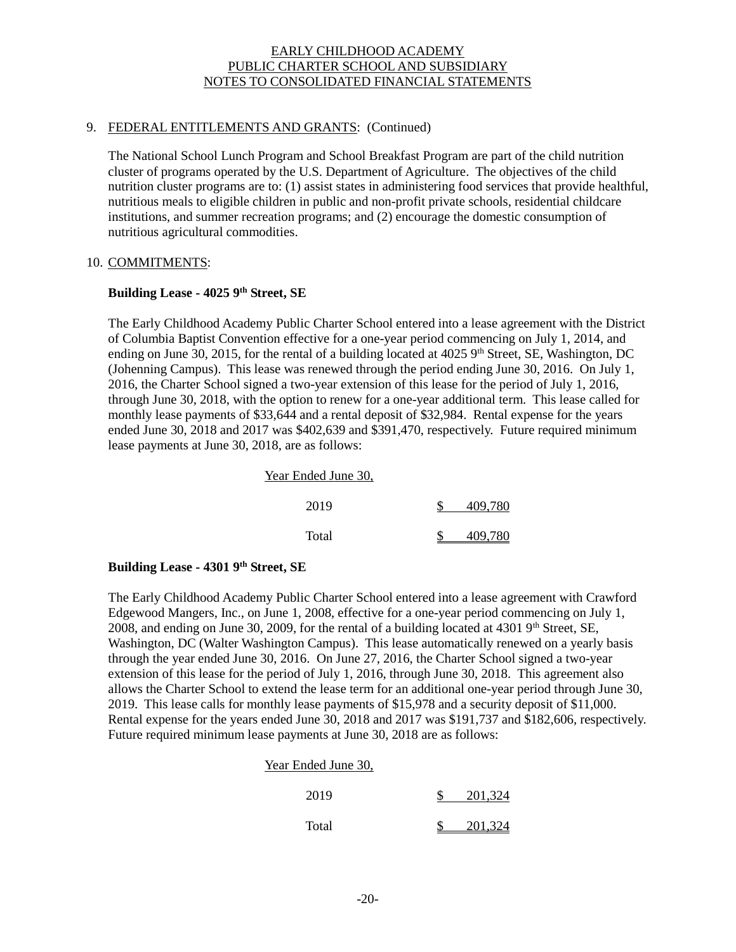## 9. FEDERAL ENTITLEMENTS AND GRANTS: (Continued)

The National School Lunch Program and School Breakfast Program are part of the child nutrition cluster of programs operated by the U.S. Department of Agriculture. The objectives of the child nutrition cluster programs are to: (1) assist states in administering food services that provide healthful, nutritious meals to eligible children in public and non-profit private schools, residential childcare institutions, and summer recreation programs; and (2) encourage the domestic consumption of nutritious agricultural commodities.

## 10. COMMITMENTS:

## **Building Lease - 4025 9th Street, SE**

The Early Childhood Academy Public Charter School entered into a lease agreement with the District of Columbia Baptist Convention effective for a one-year period commencing on July 1, 2014, and ending on June 30, 2015, for the rental of a building located at  $4025$  9<sup>th</sup> Street, SE, Washington, DC (Johenning Campus). This lease was renewed through the period ending June 30, 2016. On July 1, 2016, the Charter School signed a two-year extension of this lease for the period of July 1, 2016, through June 30, 2018, with the option to renew for a one-year additional term. This lease called for monthly lease payments of \$33,644 and a rental deposit of \$32,984. Rental expense for the years ended June 30, 2018 and 2017 was \$402,639 and \$391,470, respectively. Future required minimum lease payments at June 30, 2018, are as follows:

| Year Ended June 30, |         |
|---------------------|---------|
| 2019                | 409,780 |
| Total               | 409.780 |

## **Building Lease - 4301 9th Street, SE**

The Early Childhood Academy Public Charter School entered into a lease agreement with Crawford Edgewood Mangers, Inc., on June 1, 2008, effective for a one-year period commencing on July 1, 2008, and ending on June 30, 2009, for the rental of a building located at  $43019<sup>th</sup>$  Street, SE, Washington, DC (Walter Washington Campus). This lease automatically renewed on a yearly basis through the year ended June 30, 2016. On June 27, 2016, the Charter School signed a two-year extension of this lease for the period of July 1, 2016, through June 30, 2018. This agreement also allows the Charter School to extend the lease term for an additional one-year period through June 30, 2019. This lease calls for monthly lease payments of \$15,978 and a security deposit of \$11,000. Rental expense for the years ended June 30, 2018 and 2017 was \$191,737 and \$182,606, respectively. Future required minimum lease payments at June 30, 2018 are as follows:

| Year Ended June 30, |  |  |
|---------------------|--|--|
|                     |  |  |

| 2019 | $\frac{\$}{201,324}$ |
|------|----------------------|
|      |                      |

| Total | 201,324 |
|-------|---------|
|       |         |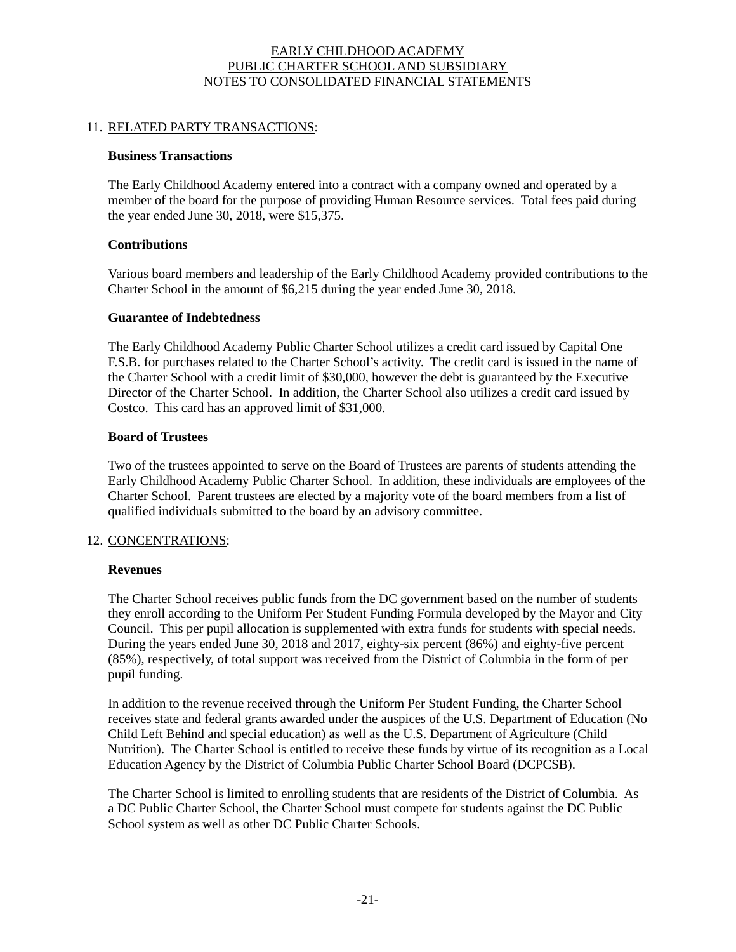## 11. RELATED PARTY TRANSACTIONS:

#### **Business Transactions**

The Early Childhood Academy entered into a contract with a company owned and operated by a member of the board for the purpose of providing Human Resource services. Total fees paid during the year ended June 30, 2018, were \$15,375.

## **Contributions**

Various board members and leadership of the Early Childhood Academy provided contributions to the Charter School in the amount of \$6,215 during the year ended June 30, 2018.

## **Guarantee of Indebtedness**

The Early Childhood Academy Public Charter School utilizes a credit card issued by Capital One F.S.B. for purchases related to the Charter School's activity. The credit card is issued in the name of the Charter School with a credit limit of \$30,000, however the debt is guaranteed by the Executive Director of the Charter School. In addition, the Charter School also utilizes a credit card issued by Costco. This card has an approved limit of \$31,000.

# **Board of Trustees**

Two of the trustees appointed to serve on the Board of Trustees are parents of students attending the Early Childhood Academy Public Charter School. In addition, these individuals are employees of the Charter School. Parent trustees are elected by a majority vote of the board members from a list of qualified individuals submitted to the board by an advisory committee.

## 12. CONCENTRATIONS:

## **Revenues**

The Charter School receives public funds from the DC government based on the number of students they enroll according to the Uniform Per Student Funding Formula developed by the Mayor and City Council. This per pupil allocation is supplemented with extra funds for students with special needs. During the years ended June 30, 2018 and 2017, eighty-six percent (86%) and eighty-five percent (85%), respectively, of total support was received from the District of Columbia in the form of per pupil funding.

In addition to the revenue received through the Uniform Per Student Funding, the Charter School receives state and federal grants awarded under the auspices of the U.S. Department of Education (No Child Left Behind and special education) as well as the U.S. Department of Agriculture (Child Nutrition). The Charter School is entitled to receive these funds by virtue of its recognition as a Local Education Agency by the District of Columbia Public Charter School Board (DCPCSB).

The Charter School is limited to enrolling students that are residents of the District of Columbia. As a DC Public Charter School, the Charter School must compete for students against the DC Public School system as well as other DC Public Charter Schools.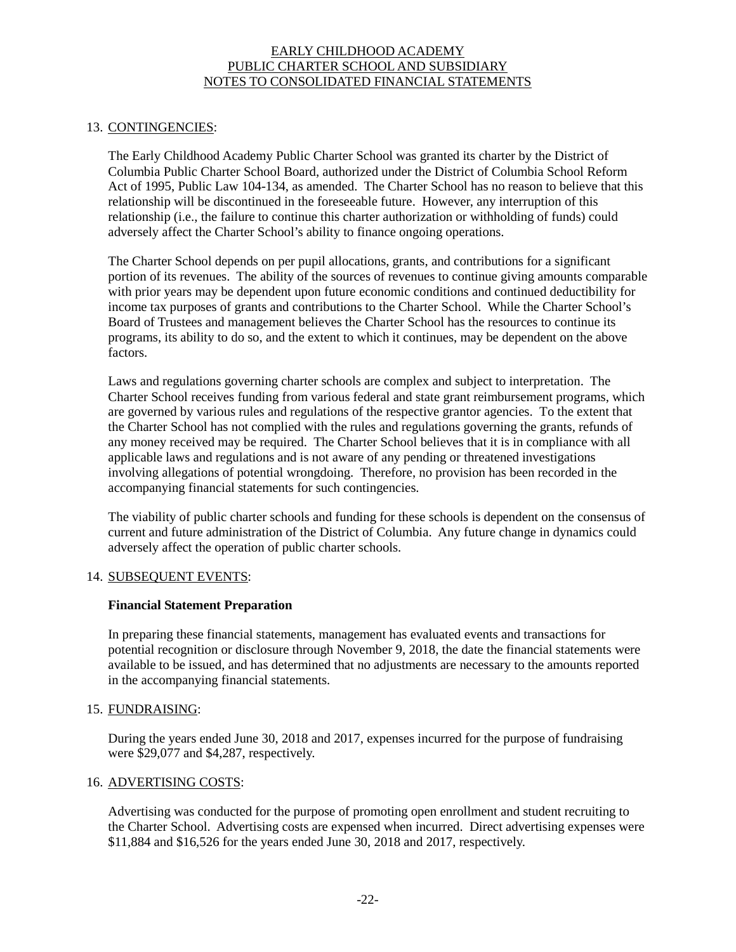## 13. CONTINGENCIES:

The Early Childhood Academy Public Charter School was granted its charter by the District of Columbia Public Charter School Board, authorized under the District of Columbia School Reform Act of 1995, Public Law 104-134, as amended. The Charter School has no reason to believe that this relationship will be discontinued in the foreseeable future. However, any interruption of this relationship (i.e., the failure to continue this charter authorization or withholding of funds) could adversely affect the Charter School's ability to finance ongoing operations.

The Charter School depends on per pupil allocations, grants, and contributions for a significant portion of its revenues. The ability of the sources of revenues to continue giving amounts comparable with prior years may be dependent upon future economic conditions and continued deductibility for income tax purposes of grants and contributions to the Charter School. While the Charter School's Board of Trustees and management believes the Charter School has the resources to continue its programs, its ability to do so, and the extent to which it continues, may be dependent on the above factors.

Laws and regulations governing charter schools are complex and subject to interpretation. The Charter School receives funding from various federal and state grant reimbursement programs, which are governed by various rules and regulations of the respective grantor agencies. To the extent that the Charter School has not complied with the rules and regulations governing the grants, refunds of any money received may be required. The Charter School believes that it is in compliance with all applicable laws and regulations and is not aware of any pending or threatened investigations involving allegations of potential wrongdoing. Therefore, no provision has been recorded in the accompanying financial statements for such contingencies.

The viability of public charter schools and funding for these schools is dependent on the consensus of current and future administration of the District of Columbia. Any future change in dynamics could adversely affect the operation of public charter schools.

## 14. SUBSEQUENT EVENTS:

#### **Financial Statement Preparation**

In preparing these financial statements, management has evaluated events and transactions for potential recognition or disclosure through November 9, 2018, the date the financial statements were available to be issued, and has determined that no adjustments are necessary to the amounts reported in the accompanying financial statements.

#### 15. FUNDRAISING:

During the years ended June 30, 2018 and 2017, expenses incurred for the purpose of fundraising were \$29,077 and \$4,287, respectively.

#### 16. ADVERTISING COSTS:

Advertising was conducted for the purpose of promoting open enrollment and student recruiting to the Charter School. Advertising costs are expensed when incurred. Direct advertising expenses were \$11,884 and \$16,526 for the years ended June 30, 2018 and 2017, respectively.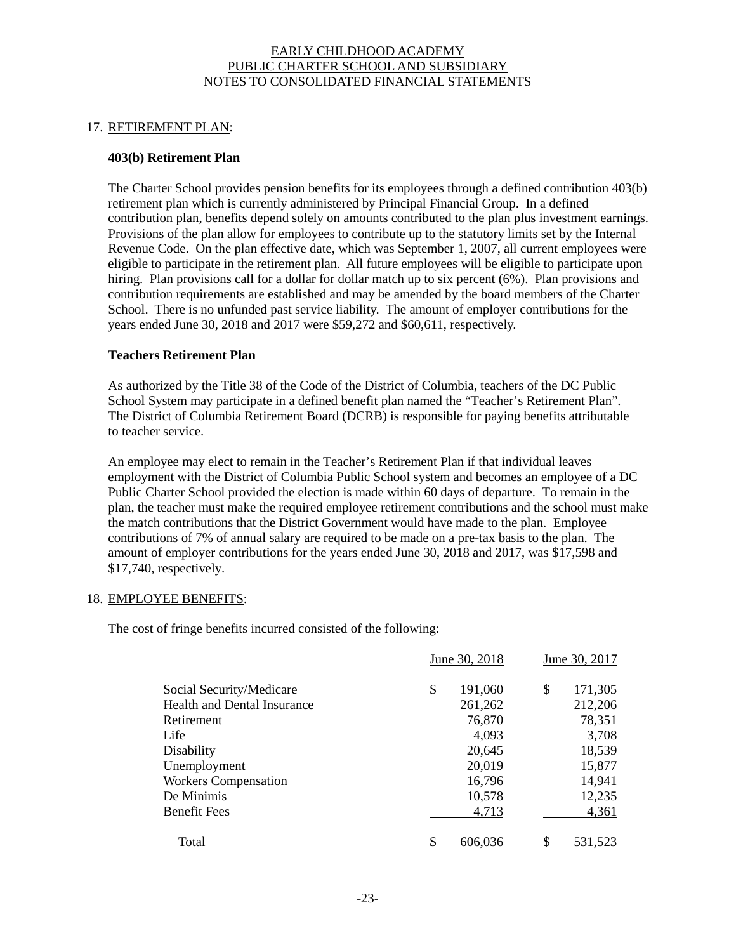## 17. RETIREMENT PLAN:

## **403(b) Retirement Plan**

The Charter School provides pension benefits for its employees through a defined contribution 403(b) retirement plan which is currently administered by Principal Financial Group. In a defined contribution plan, benefits depend solely on amounts contributed to the plan plus investment earnings. Provisions of the plan allow for employees to contribute up to the statutory limits set by the Internal Revenue Code. On the plan effective date, which was September 1, 2007, all current employees were eligible to participate in the retirement plan. All future employees will be eligible to participate upon hiring. Plan provisions call for a dollar for dollar match up to six percent (6%). Plan provisions and contribution requirements are established and may be amended by the board members of the Charter School. There is no unfunded past service liability. The amount of employer contributions for the years ended June 30, 2018 and 2017 were \$59,272 and \$60,611, respectively.

## **Teachers Retirement Plan**

As authorized by the Title 38 of the Code of the District of Columbia, teachers of the DC Public School System may participate in a defined benefit plan named the "Teacher's Retirement Plan". The District of Columbia Retirement Board (DCRB) is responsible for paying benefits attributable to teacher service.

An employee may elect to remain in the Teacher's Retirement Plan if that individual leaves employment with the District of Columbia Public School system and becomes an employee of a DC Public Charter School provided the election is made within 60 days of departure. To remain in the plan, the teacher must make the required employee retirement contributions and the school must make the match contributions that the District Government would have made to the plan. Employee contributions of 7% of annual salary are required to be made on a pre-tax basis to the plan. The amount of employer contributions for the years ended June 30, 2018 and 2017, was \$17,598 and \$17,740, respectively.

## 18. EMPLOYEE BENEFITS:

The cost of fringe benefits incurred consisted of the following:

|                                    | June 30, 2018 | June 30, 2017 |
|------------------------------------|---------------|---------------|
| Social Security/Medicare           | \$<br>191,060 | \$<br>171,305 |
| <b>Health and Dental Insurance</b> | 261,262       | 212,206       |
| Retirement                         | 76,870        | 78,351        |
| Life                               | 4,093         | 3,708         |
| Disability                         | 20,645        | 18,539        |
| Unemployment                       | 20,019        | 15,877        |
| <b>Workers Compensation</b>        | 16,796        | 14,941        |
| De Minimis                         | 10,578        | 12,235        |
| <b>Benefit Fees</b>                | 4,713         | 4,361         |
| Total                              | 606,036       | \$<br>531,523 |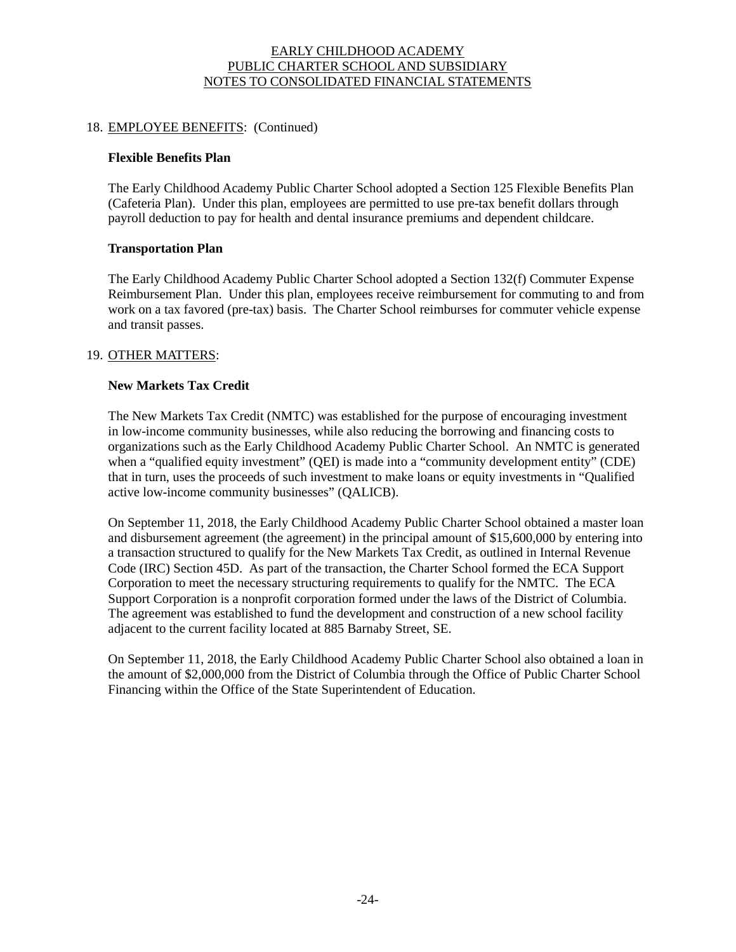## 18. EMPLOYEE BENEFITS: (Continued)

## **Flexible Benefits Plan**

The Early Childhood Academy Public Charter School adopted a Section 125 Flexible Benefits Plan (Cafeteria Plan). Under this plan, employees are permitted to use pre-tax benefit dollars through payroll deduction to pay for health and dental insurance premiums and dependent childcare.

## **Transportation Plan**

The Early Childhood Academy Public Charter School adopted a Section 132(f) Commuter Expense Reimbursement Plan. Under this plan, employees receive reimbursement for commuting to and from work on a tax favored (pre-tax) basis. The Charter School reimburses for commuter vehicle expense and transit passes.

#### 19. OTHER MATTERS:

## **New Markets Tax Credit**

The New Markets Tax Credit (NMTC) was established for the purpose of encouraging investment in low-income community businesses, while also reducing the borrowing and financing costs to organizations such as the Early Childhood Academy Public Charter School. An NMTC is generated when a "qualified equity investment" (QEI) is made into a "community development entity" (CDE) that in turn, uses the proceeds of such investment to make loans or equity investments in "Qualified active low-income community businesses" (QALICB).

On September 11, 2018, the Early Childhood Academy Public Charter School obtained a master loan and disbursement agreement (the agreement) in the principal amount of \$15,600,000 by entering into a transaction structured to qualify for the New Markets Tax Credit, as outlined in Internal Revenue Code (IRC) Section 45D. As part of the transaction, the Charter School formed the ECA Support Corporation to meet the necessary structuring requirements to qualify for the NMTC. The ECA Support Corporation is a nonprofit corporation formed under the laws of the District of Columbia. The agreement was established to fund the development and construction of a new school facility adjacent to the current facility located at 885 Barnaby Street, SE.

On September 11, 2018, the Early Childhood Academy Public Charter School also obtained a loan in the amount of \$2,000,000 from the District of Columbia through the Office of Public Charter School Financing within the Office of the State Superintendent of Education.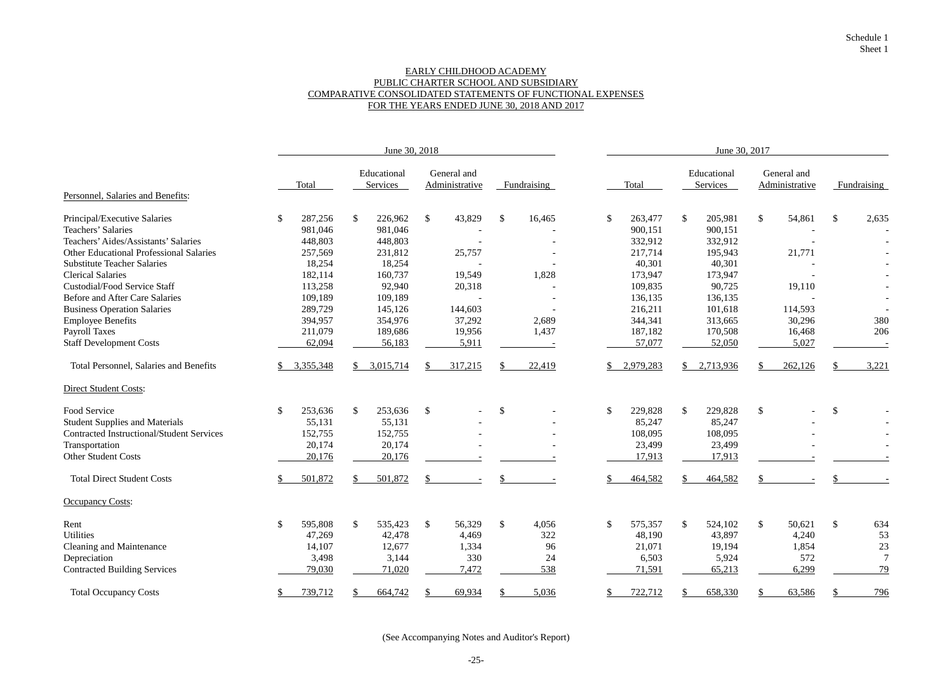## EARLY CHILDHOOD ACADEMY PUBLIC CHARTER SCHOOL AND SUBSIDIARY COMPARATIVE CONSOLIDATED STATEMENTS OF FUNCTIONAL EXPENSES FOR THE YEARS ENDED JUNE 30, 2018 AND 2017

|                                                  |                          |                         | June 30, 2018                 |                         | June 30, 2017 |                                    |                               |                         |  |  |  |
|--------------------------------------------------|--------------------------|-------------------------|-------------------------------|-------------------------|---------------|------------------------------------|-------------------------------|-------------------------|--|--|--|
|                                                  | Total                    | Educational<br>Services | General and<br>Administrative | Fundraising             | Total         | Educational<br>Services            | General and<br>Administrative | Fundraising             |  |  |  |
| Personnel, Salaries and Benefits:                |                          |                         |                               |                         |               |                                    |                               |                         |  |  |  |
| Principal/Executive Salaries                     | 287,256<br>$\mathbb{S}$  | 226,962<br>$\mathbb{S}$ | $\mathbb{S}$<br>43,829        | $\mathcal{S}$<br>16,465 | 263,477<br>\$ | $\mathbb{S}$<br>205,981            | $\mathcal{S}$<br>54,861       | $\mathcal{S}$<br>2,635  |  |  |  |
| Teachers' Salaries                               | 981,046                  | 981,046                 |                               |                         | 900,151       | 900,151                            |                               |                         |  |  |  |
| Teachers' Aides/Assistants' Salaries             | 448,803                  | 448,803                 |                               |                         | 332,912       | 332,912                            |                               |                         |  |  |  |
| <b>Other Educational Professional Salaries</b>   | 257,569                  | 231,812                 | 25,757                        |                         | 217,714       | 195,943                            | 21,771                        |                         |  |  |  |
| <b>Substitute Teacher Salaries</b>               | 18,254                   | 18,254                  |                               |                         | 40,301        | 40,301                             |                               |                         |  |  |  |
| <b>Clerical Salaries</b>                         | 182,114                  | 160,737                 | 19,549                        | 1,828                   | 173,947       | 173,947                            |                               |                         |  |  |  |
| <b>Custodial/Food Service Staff</b>              | 113,258                  | 92,940                  | 20,318                        |                         | 109,835       | 90,725                             | 19,110                        |                         |  |  |  |
| <b>Before and After Care Salaries</b>            | 109,189                  | 109,189                 |                               |                         | 136,135       | 136,135                            |                               |                         |  |  |  |
| <b>Business Operation Salaries</b>               | 289,729                  | 145,126                 | 144,603                       |                         | 216,211       | 101,618                            | 114,593                       |                         |  |  |  |
| <b>Employee Benefits</b>                         | 394,957                  | 354,976                 | 37,292                        | 2,689                   | 344,341       | 313,665                            | 30,296                        | 380                     |  |  |  |
| <b>Payroll Taxes</b>                             | 211,079                  | 189,686                 | 19,956                        | 1,437                   | 187,182       | 170,508                            | 16,468                        | 206                     |  |  |  |
| <b>Staff Development Costs</b>                   | 62,094                   | 56,183                  | 5,911                         |                         | 57,077        | 52,050                             | 5,027                         |                         |  |  |  |
| Total Personnel, Salaries and Benefits           | 3,355,348<br>\$.         | 3,015,714<br>\$         | 317,215<br>\$.                | 22,419                  | 2,979,283     | 2,713,936<br>\$                    | 262,126                       | 3,221                   |  |  |  |
| <b>Direct Student Costs:</b>                     |                          |                         |                               |                         |               |                                    |                               |                         |  |  |  |
| Food Service                                     | $\mathcal{S}$<br>253,636 | 253,636<br>$\mathbb{S}$ | $\mathcal{S}$                 | \$                      | \$<br>229,828 | 229,828<br>$\sqrt[6]{\frac{1}{2}}$ | $\boldsymbol{\mathsf{S}}$     | $\sqrt[6]{\frac{1}{2}}$ |  |  |  |
| <b>Student Supplies and Materials</b>            | 55,131                   | 55,131                  |                               |                         | 85,247        | 85,247                             |                               |                         |  |  |  |
| <b>Contracted Instructional/Student Services</b> | 152,755                  | 152,755                 |                               |                         | 108,095       | 108,095                            |                               |                         |  |  |  |
| Transportation                                   | 20,174                   | 20,174                  |                               |                         | 23,499        | 23,499                             |                               |                         |  |  |  |
| <b>Other Student Costs</b>                       | 20,176                   | 20,176                  |                               |                         | 17,913        | 17,913                             |                               |                         |  |  |  |
| <b>Total Direct Student Costs</b>                | 501,872                  | 501,872                 |                               |                         | 464,582       | 464,582                            |                               |                         |  |  |  |
| <b>Occupancy Costs:</b>                          |                          |                         |                               |                         |               |                                    |                               |                         |  |  |  |
| Rent                                             | $\mathbb{S}$<br>595,808  | 535,423<br>$\mathbb{S}$ | $\mathcal{S}$<br>56,329       | $\mathcal{S}$<br>4,056  | \$<br>575,357 | $\mathbb{S}$<br>524,102            | $\mathcal{S}$<br>50,621       | $\mathbb{S}$<br>634     |  |  |  |
| Utilities                                        | 47,269                   | 42,478                  | 4,469                         | 322                     | 48,190        | 43,897                             | 4,240                         | 53                      |  |  |  |
| <b>Cleaning and Maintenance</b>                  | 14,107                   | 12,677                  | 1,334                         | 96                      | 21,071        | 19,194                             | 1,854                         | 23                      |  |  |  |
| Depreciation                                     | 3,498                    | 3,144                   | 330                           | 24                      | 6,503         | 5,924                              | 572                           | $\overline{7}$          |  |  |  |
| <b>Contracted Building Services</b>              | 79,030                   | 71,020                  | 7,472                         | 538                     | 71,591        | 65,213                             | 6,299                         | 79                      |  |  |  |
| <b>Total Occupancy Costs</b>                     | \$<br>739,712            | 664,742                 | 69,934                        | 5,036                   | 722,712<br>\$ | 658,330                            | 63,586                        | 796                     |  |  |  |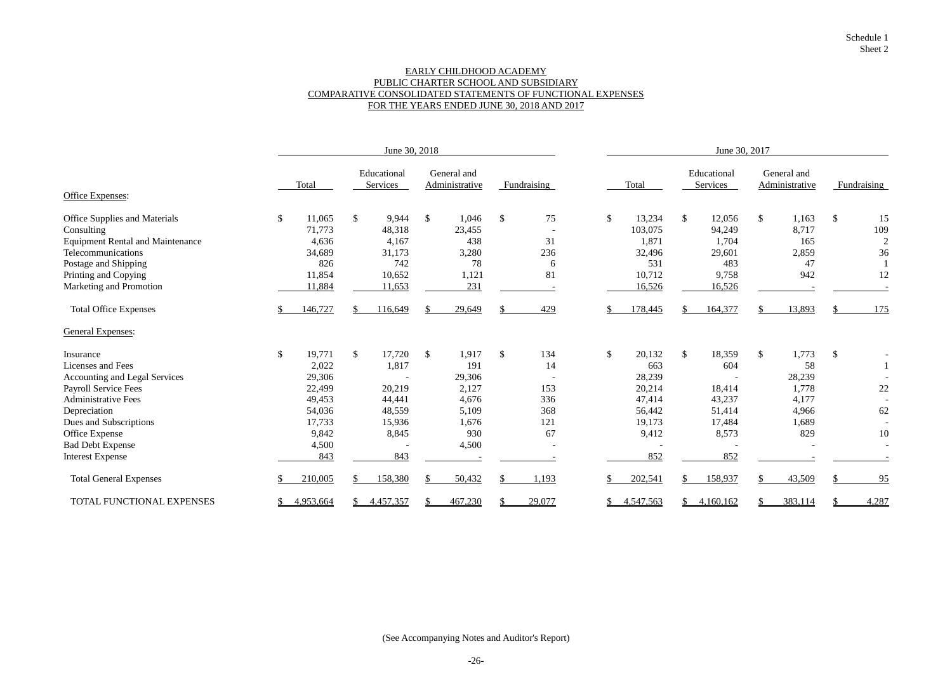## EARLY CHILDHOOD ACADEMY PUBLIC CHARTER SCHOOL AND SUBSIDIARY COMPARATIVE CONSOLIDATED STATEMENTS OF FUNCTIONAL EXPENSES FOR THE YEARS ENDED JUNE 30, 2018 AND 2017

|                                         | June 30, 2018 |           |              |                                |               |                               | June 30, 2017 |                          |               |           |                |                         |               |                               |               |                |
|-----------------------------------------|---------------|-----------|--------------|--------------------------------|---------------|-------------------------------|---------------|--------------------------|---------------|-----------|----------------|-------------------------|---------------|-------------------------------|---------------|----------------|
|                                         |               | Total     |              | Educational<br><b>Services</b> |               | General and<br>Administrative |               | Fundraising              |               | Total     |                | Educational<br>Services |               | General and<br>Administrative |               | Fundraising    |
| Office Expenses:                        |               |           |              |                                |               |                               |               |                          |               |           |                |                         |               |                               |               |                |
| Office Supplies and Materials           | $\mathcal{S}$ | 11,065    | $\mathbb{S}$ | 9,944                          | $\mathcal{S}$ | 1,046                         | $\mathcal{S}$ | 75                       | \$            | 13,234    | $\frac{1}{2}$  | 12,056                  | $\mathbb{S}$  | 1,163                         | $\mathcal{S}$ | 15             |
| Consulting                              |               | 71,773    |              | 48,318                         |               | 23,455                        |               | $\overline{\phantom{a}}$ |               | 103,075   |                | 94,249                  |               | 8,717                         |               | 109            |
| <b>Equipment Rental and Maintenance</b> |               | 4,636     |              | 4,167                          |               | 438                           |               | 31                       |               | 1,871     |                | 1,704                   |               | 165                           |               | $\overline{2}$ |
| Telecommunications                      |               | 34,689    |              | 31,173                         |               | 3,280                         |               | 236                      |               | 32,496    |                | 29,601                  |               | 2,859                         |               | 36             |
| Postage and Shipping                    |               | 826       |              | 742                            |               | 78                            |               | 6                        |               | 531       |                | 483                     |               | 47                            |               |                |
| Printing and Copying                    |               | 11,854    |              | 10,652                         |               | 1,121                         |               | 81                       |               | 10,712    |                | 9,758                   |               | 942                           |               | 12             |
| Marketing and Promotion                 |               | 11,884    |              | 11,653                         |               | 231                           |               |                          |               | 16,526    |                | 16,526                  |               |                               |               |                |
| <b>Total Office Expenses</b>            |               | 146,727   |              | 116,649                        |               | 29,649                        |               | 429                      |               | 178,445   |                | 164,377                 |               | 13,893                        |               | 175            |
| <b>General Expenses:</b>                |               |           |              |                                |               |                               |               |                          |               |           |                |                         |               |                               |               |                |
| Insurance                               | $\$\$         | 19,771    | $\mathbb{S}$ | 17,720                         | $\mathcal{S}$ | 1,917                         | $\mathcal{S}$ | 134                      | $\mathcal{S}$ | 20,132    | $\mathbb{S}$   | 18,359                  | $\mathcal{S}$ | 1,773                         | $\sqrt{3}$    |                |
| Licenses and Fees                       |               | 2,022     |              | 1,817                          |               | 191                           |               | 14                       |               | 663       |                | 604                     |               | 58                            |               |                |
| Accounting and Legal Services           |               | 29,306    |              |                                |               | 29,306                        |               |                          |               | 28,239    |                |                         |               | 28,239                        |               |                |
| <b>Payroll Service Fees</b>             |               | 22,499    |              | 20,219                         |               | 2,127                         |               | 153                      |               | 20,214    |                | 18,414                  |               | 1,778                         |               | 22             |
| <b>Administrative Fees</b>              |               | 49,453    |              | 44,441                         |               | 4,676                         |               | 336                      |               | 47,414    |                | 43,237                  |               | 4,177                         |               |                |
| Depreciation                            |               | 54,036    |              | 48,559                         |               | 5,109                         |               | 368                      |               | 56,442    |                | 51,414                  |               | 4,966                         |               | 62             |
| Dues and Subscriptions                  |               | 17,733    |              | 15,936                         |               | 1,676                         |               | 121                      |               | 19,173    |                | 17,484                  |               | 1,689                         |               |                |
| Office Expense                          |               | 9,842     |              | 8,845                          |               | 930                           |               | 67                       |               | 9,412     |                | 8,573                   |               | 829                           |               | 10             |
| <b>Bad Debt Expense</b>                 |               | 4,500     |              |                                |               | 4,500                         |               |                          |               |           |                |                         |               |                               |               |                |
| <b>Interest Expense</b>                 |               | 843       |              | 843                            |               |                               |               |                          |               | 852       |                | 852                     |               |                               |               |                |
| <b>Total General Expenses</b>           |               | 210,005   |              | 158,380                        |               | 50,432                        |               | ,193                     |               | 202,541   |                | 158,937                 |               | 43,509                        |               | 95             |
| TOTAL FUNCTIONAL EXPENSES               |               | 4,953,664 |              | 4,457,357                      |               | 467,230                       |               | 29,077                   |               | 4,547,563 | $\mathbb{S}^-$ | 4,160,162               |               | 383,114                       |               | 4,287          |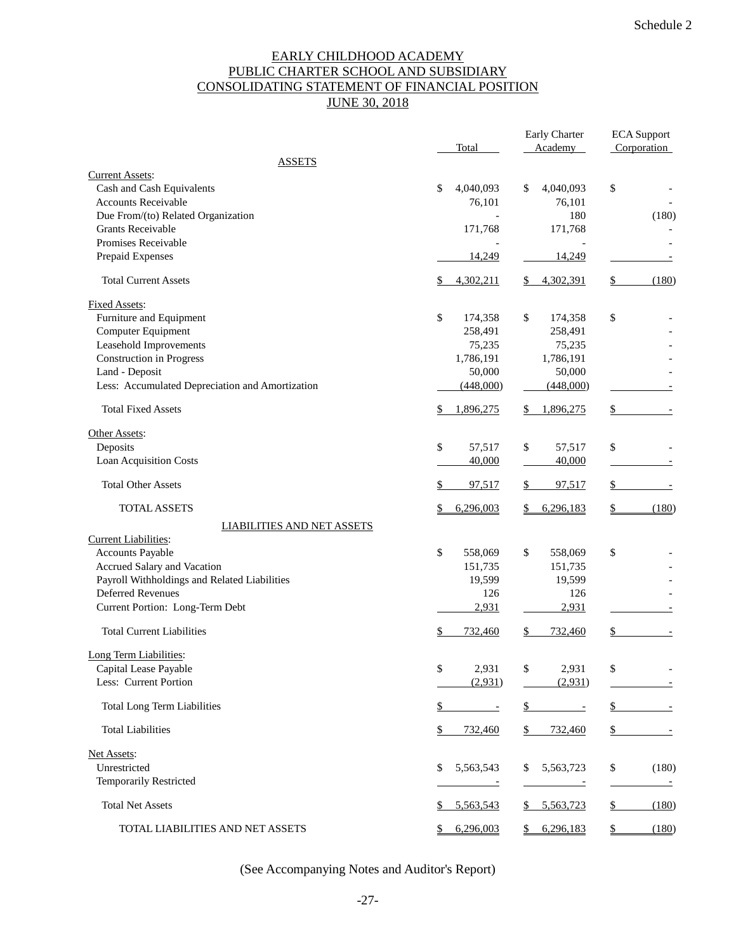# EARLY CHILDHOOD ACADEMY PUBLIC CHARTER SCHOOL AND SUBSIDIARY CONSOLIDATING STATEMENT OF FINANCIAL POSITION **JUNE 30, 2018**

|                                                 | Total                    | Early Charter<br>Academy | <b>ECA</b> Support<br>Corporation |  |  |
|-------------------------------------------------|--------------------------|--------------------------|-----------------------------------|--|--|
| <b>ASSETS</b>                                   |                          |                          |                                   |  |  |
| <b>Current Assets:</b>                          |                          |                          |                                   |  |  |
| Cash and Cash Equivalents                       | 4,040,093<br>\$          | \$<br>4,040,093          | \$                                |  |  |
| Accounts Receivable                             | 76,101                   | 76,101                   |                                   |  |  |
| Due From/(to) Related Organization              |                          | 180                      | (180)                             |  |  |
| <b>Grants Receivable</b>                        | 171,768                  | 171,768                  |                                   |  |  |
| Promises Receivable                             |                          |                          |                                   |  |  |
| Prepaid Expenses                                | 14,249                   | 14,249                   |                                   |  |  |
| <b>Total Current Assets</b>                     | 4,302,211<br>\$          | 4,302,391                | (180)<br>\$                       |  |  |
| <b>Fixed Assets:</b>                            |                          |                          |                                   |  |  |
| Furniture and Equipment                         | \$<br>174,358            | \$<br>174,358            | \$                                |  |  |
| Computer Equipment                              | 258,491                  | 258,491                  |                                   |  |  |
| Leasehold Improvements                          | 75,235                   | 75,235                   |                                   |  |  |
| <b>Construction</b> in Progress                 | 1,786,191                | 1,786,191                |                                   |  |  |
| Land - Deposit                                  | 50,000                   | 50,000                   |                                   |  |  |
| Less: Accumulated Depreciation and Amortization | (448,000)                | (448,000)                |                                   |  |  |
| <b>Total Fixed Assets</b>                       | 1,896,275                | 1,896,275                | S                                 |  |  |
| Other Assets:                                   |                          |                          |                                   |  |  |
| Deposits                                        | \$<br>57,517             | \$<br>57,517             | \$                                |  |  |
| <b>Loan Acquisition Costs</b>                   | 40,000                   | 40,000                   |                                   |  |  |
| <b>Total Other Assets</b>                       | 97,517                   | 97,517                   |                                   |  |  |
| <b>TOTAL ASSETS</b>                             | 6,296,003                | 6,296,183                | (180)                             |  |  |
| <b>LIABILITIES AND NET ASSETS</b>               |                          |                          |                                   |  |  |
| <b>Current Liabilities:</b>                     |                          |                          |                                   |  |  |
| <b>Accounts Payable</b>                         | \$<br>558,069            | \$<br>558,069            | \$                                |  |  |
| Accrued Salary and Vacation                     | 151,735                  | 151,735                  |                                   |  |  |
| Payroll Withholdings and Related Liabilities    | 19,599                   | 19,599                   |                                   |  |  |
| <b>Deferred Revenues</b>                        | 126                      | 126                      |                                   |  |  |
| Current Portion: Long-Term Debt                 | 2,931                    | 2,931                    |                                   |  |  |
| <b>Total Current Liabilities</b>                | 732,460                  | \$<br>732,460            | \$                                |  |  |
| Long Term Liabilities:                          |                          |                          |                                   |  |  |
| Capital Lease Payable                           | \$<br>2,931              | \$<br>2,931              | \$                                |  |  |
| Less: Current Portion                           | (2,931)                  | (2,931)                  |                                   |  |  |
| <b>Total Long Term Liabilities</b>              | $\overline{\phantom{a}}$ | \$<br>$\sim$             | \$                                |  |  |
| <b>Total Liabilities</b>                        | \$<br>732,460            | \$<br>732,460            | \$<br>$\overline{\phantom{a}}$    |  |  |
| Net Assets:                                     |                          |                          |                                   |  |  |
| Unrestricted                                    | 5,563,543<br>\$.         | 5,563,723<br>S           | \$<br>(180)                       |  |  |
| Temporarily Restricted                          |                          |                          |                                   |  |  |
| <b>Total Net Assets</b>                         | 5,563,543<br>\$          | \$5,563,723              | \$<br>(180)                       |  |  |
| TOTAL LIABILITIES AND NET ASSETS                | 6,296,003                | 6,296,183                | (180)<br>$\mathbb{S}$             |  |  |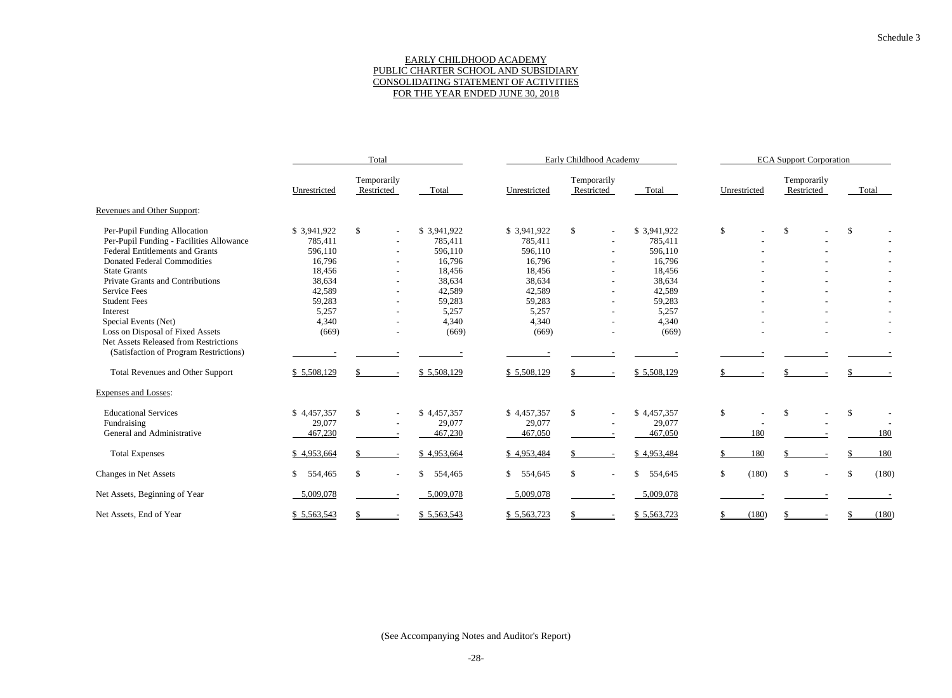## EARLY CHILDHOOD ACADEMY PUBLIC CHARTER SCHOOL AND SUBSIDIARY CONSOLIDATING STATEMENT OF ACTIVITIES FOR THE YEAR ENDED JUNE 30, 2018

|                                                                           |                         | Total                          |               |              | Early Childhood Academy                   |                         | <b>ECA Support Corporation</b> |                           |                       |  |  |
|---------------------------------------------------------------------------|-------------------------|--------------------------------|---------------|--------------|-------------------------------------------|-------------------------|--------------------------------|---------------------------|-----------------------|--|--|
|                                                                           | Unrestricted            | Temporarily<br>Restricted      | Total         | Unrestricted | Temporarily<br>Restricted                 | Total                   | Unrestricted                   | Temporarily<br>Restricted | Total                 |  |  |
| Revenues and Other Support:                                               |                         |                                |               |              |                                           |                         |                                |                           |                       |  |  |
| Per-Pupil Funding Allocation                                              | \$3,941,922             | \$                             | \$3,941,922   | \$3,941,922  | $\mathcal{S}$<br>$\overline{\phantom{a}}$ | \$3,941,922             | $\mathcal{S}$                  | $\sqrt{3}$                | $\mathcal{S}$         |  |  |
| Per-Pupil Funding - Facilities Allowance                                  | 785,411                 |                                | 785,411       | 785,411      |                                           | 785,411                 |                                |                           |                       |  |  |
| <b>Federal Entitlements and Grants</b>                                    | 596,110                 | $\sim$                         | 596,110       | 596,110      | $\sim$                                    | 596,110                 |                                |                           |                       |  |  |
| <b>Donated Federal Commodities</b>                                        | 16,796                  |                                | 16,796        | 16,796       |                                           | 16,796                  |                                |                           |                       |  |  |
| <b>State Grants</b>                                                       | 18,456                  |                                | 18,456        | 18,456       |                                           | 18,456                  |                                |                           |                       |  |  |
| Private Grants and Contributions                                          | 38,634                  |                                | 38,634        | 38,634       |                                           | 38,634                  |                                |                           |                       |  |  |
| <b>Service Fees</b>                                                       | 42,589                  |                                | 42,589        | 42,589       |                                           | 42,589                  |                                |                           |                       |  |  |
| <b>Student Fees</b>                                                       | 59,283                  |                                | 59,283        | 59,283       |                                           | 59,283                  |                                |                           |                       |  |  |
| Interest                                                                  | 5,257                   |                                | 5,257         | 5,257        |                                           | 5,257                   |                                |                           |                       |  |  |
| Special Events (Net)                                                      | 4,340                   |                                | 4,340         | 4,340        |                                           | 4,340                   |                                |                           |                       |  |  |
| Loss on Disposal of Fixed Assets<br>Net Assets Released from Restrictions | (669)                   |                                | (669)         | (669)        |                                           | (669)                   |                                |                           |                       |  |  |
| (Satisfaction of Program Restrictions)                                    |                         |                                |               |              |                                           |                         |                                |                           |                       |  |  |
| <b>Total Revenues and Other Support</b>                                   | \$5,508,129             |                                | \$5,508,129   | \$5,508,129  |                                           | \$5,508,129             |                                |                           |                       |  |  |
| Expenses and Losses:                                                      |                         |                                |               |              |                                           |                         |                                |                           |                       |  |  |
| <b>Educational Services</b>                                               | \$4,457,357             | \$                             | \$4,457,357   | \$4,457,357  | $\mathbb{S}$                              | \$4,457,357             | $\mathbb{S}$                   | <sup>\$</sup>             | $\mathcal{S}$         |  |  |
| Fundraising                                                               | 29,077                  |                                | 29,077        | 29,077       |                                           | 29,077                  |                                |                           |                       |  |  |
| General and Administrative                                                | 467,230                 |                                | 467,230       | 467,050      |                                           | 467,050                 | 180                            |                           | 180                   |  |  |
| <b>Total Expenses</b>                                                     | \$4,953,664             |                                | \$4,953,664   | \$4,953,484  |                                           | \$4,953,484             | 180                            |                           | 180                   |  |  |
| Changes in Net Assets                                                     | <sup>S</sup><br>554,465 | \$<br>$\overline{\phantom{a}}$ | \$<br>554,465 | \$554,645    | <sup>\$</sup><br>$\overline{\phantom{a}}$ | $\mathbb{S}$<br>554,645 | \$<br>(180)                    | $\mathcal{S}$             | (180)<br>$\mathbb{S}$ |  |  |
| Net Assets, Beginning of Year                                             | 5,009,078               |                                | 5,009,078     | 5,009,078    |                                           | 5,009,078               |                                |                           |                       |  |  |
| Net Assets, End of Year                                                   | \$5,563,543             |                                | \$5,563,543   | \$5,563,723  |                                           | \$5,563,723             | (180)                          |                           | (180)                 |  |  |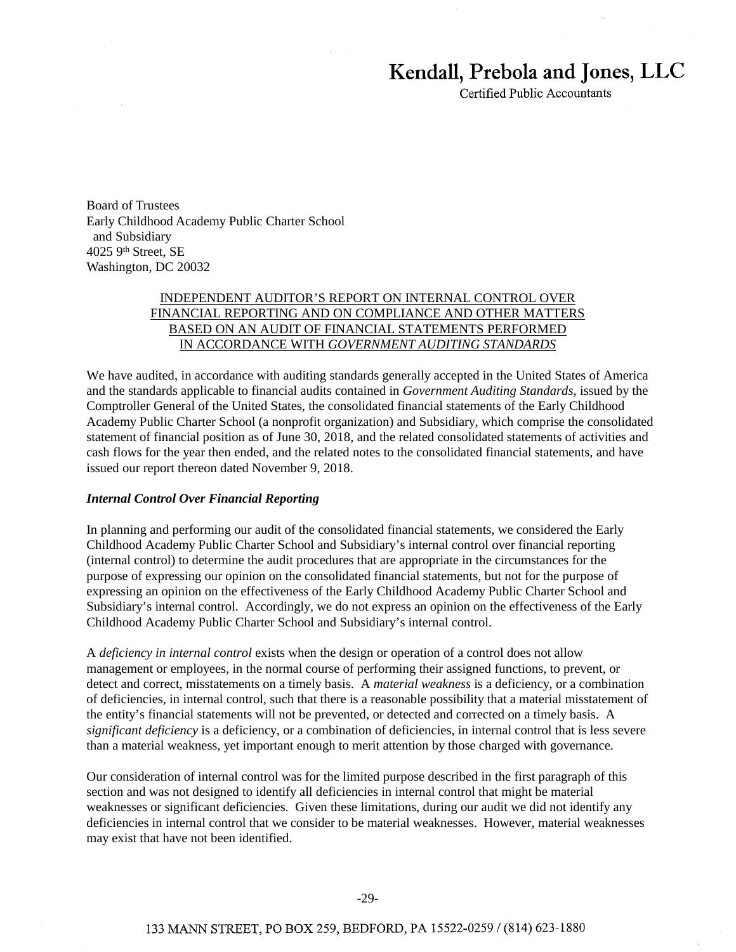# **Kendall, Prebola and Jones, LLC**

Certified Public Accountants

Board of Trustees Early Childhood Academy Public Charter School and Subsidiary 4025 9th Street, SE Washington, DC 20032

# INDEPENDENT AUDITOR'S REPORT ON INTERNAL CONTROL OVER FINANCIAL REPORTING AND ON COMPLIANCE AND OTHER MATTERS BASED ON AN AUDIT OF FINANCIAL STATEMENTS PERFORMED IN ACCORDANCE WITH *GOVERNMENT AUDITING STANDARDS*

We have audited, in accordance with auditing standards generally accepted in the United States of America and the standards applicable to financial audits contained in *Government Auditing Standards*, issued by the Comptroller General of the United States, the consolidated financial statements of the Early Childhood Academy Public Charter School (a nonprofit organization) and Subsidiary, which comprise the consolidated statement of financial position as of June 30, 2018, and the related consolidated statements of activities and cash flows for the year then ended, and the related notes to the consolidated financial statements, and have issued our report thereon dated November 9, 2018.

## *Internal Control Over Financial Reporting*

In planning and performing our audit of the consolidated financial statements, we considered the Early Childhood Academy Public Charter School and Subsidiary's internal control over financial reporting (internal control) to determine the audit procedures that are appropriate in the circumstances for the purpose of expressing our opinion on the consolidated financial statements, but not for the purpose of expressing an opinion on the effectiveness of the Early Childhood Academy Public Charter School and Subsidiary's internal control. Accordingly, we do not express an opinion on the effectiveness of the Early Childhood Academy Public Charter School and Subsidiary's internal control.

A *deficiency in internal control* exists when the design or operation of a control does not allow management or employees, in the normal course of performing their assigned functions, to prevent, or detect and correct, misstatements on a timely basis. A *material weakness* is a deficiency, or a combination of deficiencies, in internal control, such that there is a reasonable possibility that a material misstatement of the entity's financial statements will not be prevented, or detected and corrected on a timely basis. A *significant deficiency* is a deficiency, or a combination of deficiencies, in internal control that is less severe than a material weakness, yet important enough to merit attention by those charged with governance.

Our consideration of internal control was for the limited purpose described in the first paragraph of this section and was not designed to identify all deficiencies in internal control that might be material weaknesses or significant deficiencies. Given these limitations, during our audit we did not identify any deficiencies in internal control that we consider to be material weaknesses. However, material weaknesses may exist that have not been identified.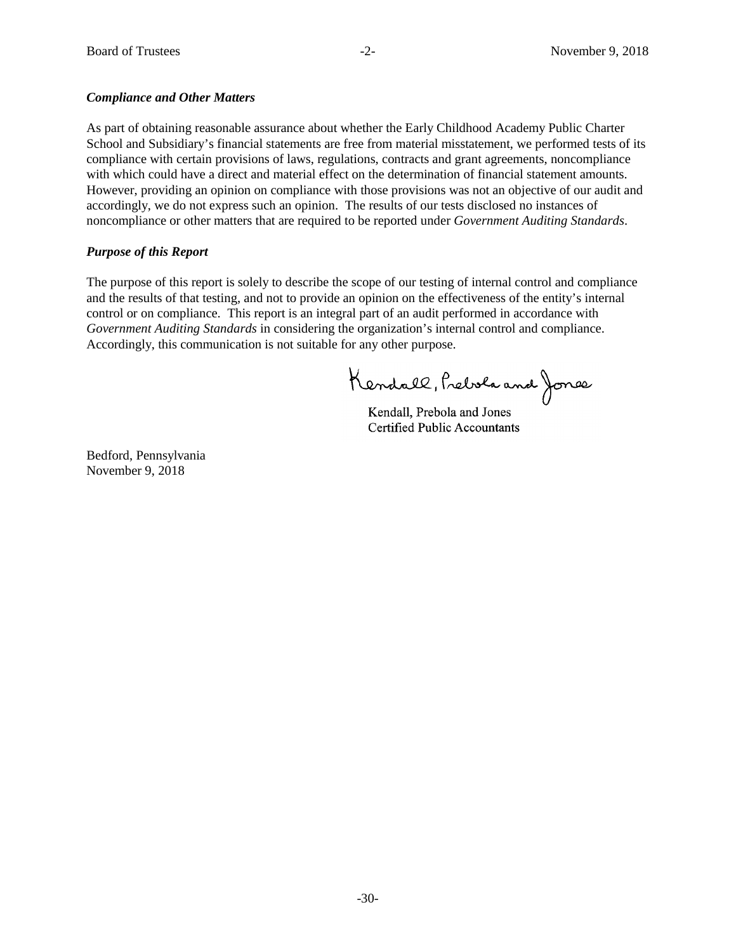## *Compliance and Other Matters*

As part of obtaining reasonable assurance about whether the Early Childhood Academy Public Charter School and Subsidiary's financial statements are free from material misstatement, we performed tests of its compliance with certain provisions of laws, regulations, contracts and grant agreements, noncompliance with which could have a direct and material effect on the determination of financial statement amounts. However, providing an opinion on compliance with those provisions was not an objective of our audit and accordingly, we do not express such an opinion. The results of our tests disclosed no instances of noncompliance or other matters that are required to be reported under *Government Auditing Standards*.

# *Purpose of this Report*

The purpose of this report is solely to describe the scope of our testing of internal control and compliance and the results of that testing, and not to provide an opinion on the effectiveness of the entity's internal control or on compliance. This report is an integral part of an audit performed in accordance with *Government Auditing Standards* in considering the organization's internal control and compliance. Accordingly, this communication is not suitable for any other purpose.

Kendall, Prebola and Jones

Kendall, Prebola and Jones Kendall, Prebola and Jones Certified Public Accountants Certified Public Accountants

Bedford, Pennsylvania November 9, 2018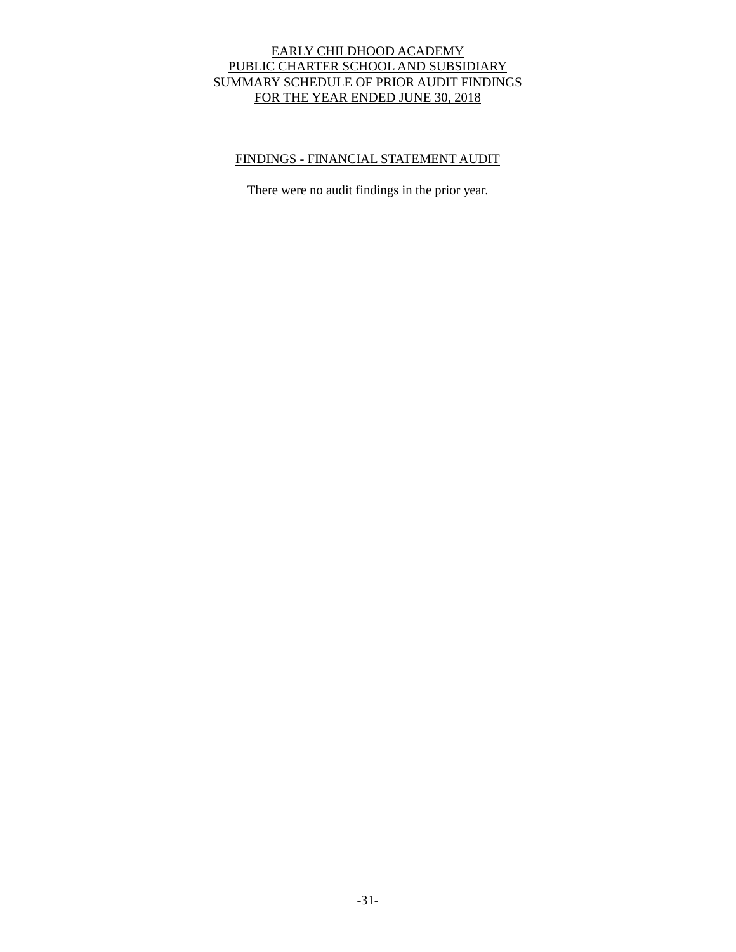# EARLY CHILDHOOD ACADEMY PUBLIC CHARTER SCHOOL AND SUBSIDIARY SUMMARY SCHEDULE OF PRIOR AUDIT FINDINGS FOR THE YEAR ENDED JUNE 30, 2018

# FINDINGS - FINANCIAL STATEMENT AUDIT

There were no audit findings in the prior year.